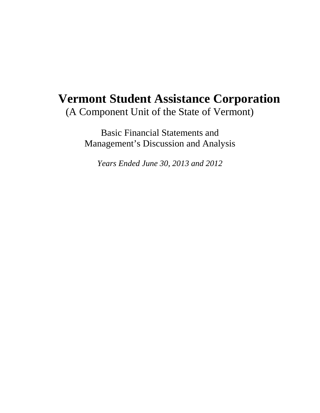# **Vermont Student Assistance Corporation** (A Component Unit of the State of Vermont)

Basic Financial Statements and Management's Discussion and Analysis

*Years Ended June 30, 2013 and 2012*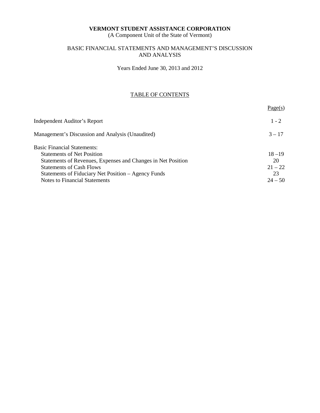(A Component Unit of the State of Vermont)

# BASIC FINANCIAL STATEMENTS AND MANAGEMENT'S DISCUSSION AND ANALYSIS

Years Ended June 30, 2013 and 2012

# TABLE OF CONTENTS

|                                                              | Page(s)   |
|--------------------------------------------------------------|-----------|
| Independent Auditor's Report                                 | $1 - 2$   |
| Management's Discussion and Analysis (Unaudited)             | $3 - 17$  |
| <b>Basic Financial Statements:</b>                           |           |
| <b>Statements of Net Position</b>                            | $18 - 19$ |
| Statements of Revenues, Expenses and Changes in Net Position | 20        |
| <b>Statements of Cash Flows</b>                              | $21 - 22$ |
| Statements of Fiduciary Net Position - Agency Funds          | 23        |
| Notes to Financial Statements                                | $24 - 50$ |
|                                                              |           |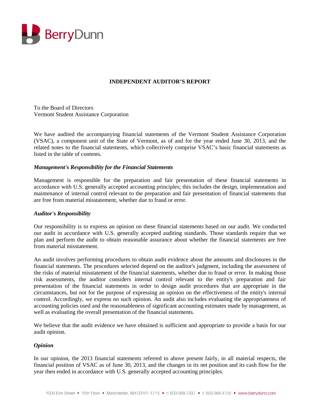<span id="page-2-0"></span>

# **INDEPENDENT AUDITOR'S REPORT**

To the Board of Directors Vermont Student Assistance Corporation

We have audited the accompanying financial statements of the Vermont Student Assistance Corporation (VSAC), a component unit of the State of Vermont, as of and for the year ended June 30, 2013, and the related notes to the financial statements, which collectively comprise VSAC's basic financial statements as listed in the table of contents.

# *Management's Responsibility for the Financial Statements*

Management is responsible for the preparation and fair presentation of these financial statements in accordance with U.S. generally accepted accounting principles; this includes the design, implementation and maintenance of internal control relevant to the preparation and fair presentation of financial statements that are free from material misstatement, whether due to fraud or error.

#### *Auditor's Responsibility*

Our responsibility is to express an opinion on these financial statements based on our audit. We conducted our audit in accordance with U.S. generally accepted auditing standards. Those standards require that we plan and perform the audit to obtain reasonable assurance about whether the financial statements are free from material misstatement.

An audit involves performing procedures to obtain audit evidence about the amounts and disclosures in the financial statements. The procedures selected depend on the auditor's judgment, including the assessment of the risks of material misstatement of the financial statements, whether due to fraud or error. In making those risk assessments, the auditor considers internal control relevant to the entity's preparation and fair presentation of the financial statements in order to design audit procedures that are appropriate in the circumstances, but not for the purpose of expressing an opinion on the effectiveness of the entity's internal control. Accordingly, we express no such opinion. An audit also includes evaluating the appropriateness of accounting policies used and the reasonableness of significant accounting estimates made by management, as well as evaluating the overall presentation of the financial statements.

We believe that the audit evidence we have obtained is sufficient and appropriate to provide a basis for our audit opinion.

#### *Opinion*

In our opinion, the 2013 financial statements referred to above present fairly, in all material respects, the financial position of VSAC as of June 30, 2013, and the changes in its net position and its cash flow for the year then ended in accordance with U.S. generally accepted accounting principles.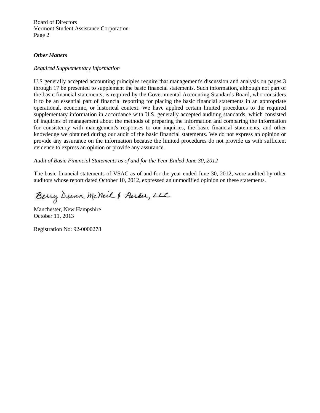Board of Directors Vermont Student Assistance Corporation Page 2

# *Other Matters*

# *Required Supplementary Information*

U.S generally accepted accounting principles require that management's discussion and analysis on pages 3 through 17 be presented to supplement the basic financial statements. Such information, although not part of the basic financial statements, is required by the Governmental Accounting Standards Board, who considers it to be an essential part of financial reporting for placing the basic financial statements in an appropriate operational, economic, or historical context. We have applied certain limited procedures to the required supplementary information in accordance with U.S. generally accepted auditing standards, which consisted of inquiries of management about the methods of preparing the information and comparing the information for consistency with management's responses to our inquiries, the basic financial statements, and other knowledge we obtained during our audit of the basic financial statements. We do not express an opinion or provide any assurance on the information because the limited procedures do not provide us with sufficient evidence to express an opinion or provide any assurance.

*Audit of Basic Financial Statements as of and for the Year Ended June 30, 2012*

The basic financial statements of VSAC as of and for the year ended June 30, 2012, were audited by other auditors whose report dated October 10, 2012, expressed an unmodified opinion on these statements.

Berry Dunn McNeil & Parker, LLC

Manchester, New Hampshire October 11, 2013

Registration No: 92-0000278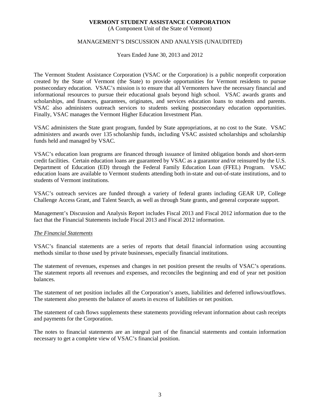(A Component Unit of the State of Vermont)

# MANAGEMENT'S DISCUSSION AND ANALYSIS (UNAUDITED)

Years Ended June 30, 2013 and 2012

The Vermont Student Assistance Corporation (VSAC or the Corporation) is a public nonprofit corporation created by the State of Vermont (the State) to provide opportunities for Vermont residents to pursue postsecondary education. VSAC's mission is to ensure that all Vermonters have the necessary financial and informational resources to pursue their educational goals beyond high school. VSAC awards grants and scholarships, and finances, guarantees, originates, and services education loans to students and parents. VSAC also administers outreach services to students seeking postsecondary education opportunities. Finally, VSAC manages the Vermont Higher Education Investment Plan.

VSAC administers the State grant program, funded by State appropriations, at no cost to the State. VSAC administers and awards over 135 scholarship funds, including VSAC assisted scholarships and scholarship funds held and managed by VSAC.

VSAC's education loan programs are financed through issuance of limited obligation bonds and short-term credit facilities. Certain education loans are guaranteed by VSAC as a guarantor and/or reinsured by the U.S. Department of Education (ED) through the Federal Family Education Loan (FFEL) Program. VSAC education loans are available to Vermont students attending both in-state and out-of-state institutions, and to students of Vermont institutions.

VSAC's outreach services are funded through a variety of federal grants including GEAR UP, College Challenge Access Grant, and Talent Search, as well as through State grants, and general corporate support.

Management's Discussion and Analysis Report includes Fiscal 2013 and Fiscal 2012 information due to the fact that the Financial Statements include Fiscal 2013 and Fiscal 2012 information.

### *The Financial Statements*

VSAC's financial statements are a series of reports that detail financial information using accounting methods similar to those used by private businesses, especially financial institutions.

The statement of revenues, expenses and changes in net position present the results of VSAC's operations. The statement reports all revenues and expenses, and reconciles the beginning and end of year net position balances.

The statement of net position includes all the Corporation's assets, liabilities and deferred inflows/outflows. The statement also presents the balance of assets in excess of liabilities or net position.

The statement of cash flows supplements these statements providing relevant information about cash receipts and payments for the Corporation.

The notes to financial statements are an integral part of the financial statements and contain information necessary to get a complete view of VSAC's financial position.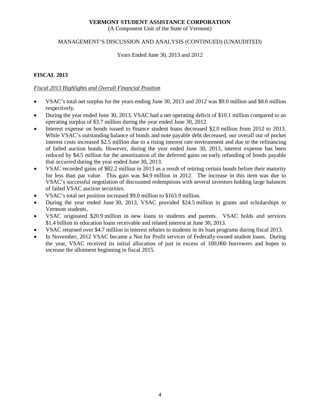(A Component Unit of the State of Vermont)

# MANAGEMENT'S DISCUSSION AND ANALYSIS (CONTINUED) (UNAUDITED)

Years Ended June 30, 2013 and 2012

# **FISCAL 2013**

# *Fiscal 2013 Highlights and Overall Financial Position*

- VSAC's total net surplus for the years ending June 30, 2013 and 2012 was \$9.0 million and \$8.6 million respectively.
- During the year ended June 30, 2013, VSAC had a net operating deficit of \$10.1 million compared to an operating surplus of \$3.7 million during the year ended June 30, 2012.
- Interest expense on bonds issued to finance student loans decreased \$2.0 million from 2012 to 2013. While VSAC's outstanding balance of bonds and note payable debt decreased, our overall out of pocket interest costs increased \$2.5 million due to a rising interest rate environment and due to the refinancing of failed auction bonds. However, during the year ended June 30, 2013, interest expense has been reduced by \$4.5 million for the amortization of the deferred gains on early refunding of bonds payable that occurred during the year ended June 30, 2013.
- VSAC recorded gains of \$82.2 million in 2013 as a result of retiring certain bonds before their maturity for less than par value. This gain was \$4.9 million in 2012. The increase in this item was due to VSAC's successful negotiation of discounted redemptions with several investors holding large balances of failed VSAC auction securities.
- VSAC's total net position increased \$9.0 million to \$163.9 million.
- During the year ended June 30, 2013, VSAC provided \$24.5 million in grants and scholarships to Vermont students.
- VSAC originated \$20.9 million in new loans to students and parents. VSAC holds and services \$1.4 billion in education loans receivable and related interest at June 30, 2013.
- VSAC returned over \$4.7 million in interest rebates to students in its loan programs during fiscal 2013.
- In November, 2012 VSAC became a Not for Profit servicer of Federally-owned student loans. During the year, VSAC received its initial allocation of just in excess of 100,000 borrowers and hopes to increase the allotment beginning in fiscal 2015.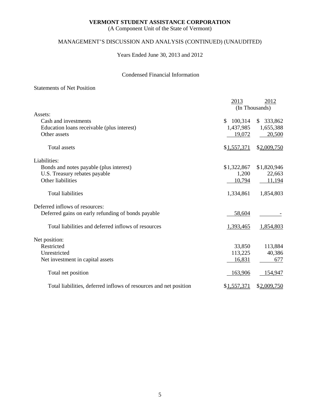(A Component Unit of the State of Vermont)

# MANAGEMENT'S DISCUSSION AND ANALYSIS (CONTINUED) (UNAUDITED)

Years Ended June 30, 2013 and 2012

# Condensed Financial Information

# Statements of Net Position

|                                                                   | 2013          | 2012           |
|-------------------------------------------------------------------|---------------|----------------|
|                                                                   |               | (In Thousands) |
| Assets:                                                           |               |                |
| Cash and investments                                              | 100,314<br>\$ | \$333,862      |
| Education loans receivable (plus interest)                        | 1,437,985     | 1,655,388      |
| Other assets                                                      | 19,072        | 20,500         |
| <b>Total assets</b>                                               | \$1,557,371   | \$2,009,750    |
| Liabilities:                                                      |               |                |
| Bonds and notes payable (plus interest)                           | \$1,322,867   | \$1,820,946    |
| U.S. Treasury rebates payable                                     | 1,200         | 22,663         |
| Other liabilities                                                 | 10,794        | 11,194         |
| <b>Total liabilities</b>                                          | 1,334,861     | 1,854,803      |
| Deferred inflows of resources:                                    |               |                |
| Deferred gains on early refunding of bonds payable                | 58,604        |                |
| Total liabilities and deferred inflows of resources               | 1,393,465     | 1,854,803      |
| Net position:                                                     |               |                |
| Restricted                                                        | 33,850        | 113,884        |
| Unrestricted                                                      | 113,225       | 40,386         |
| Net investment in capital assets                                  | 16,831        | 677            |
| Total net position                                                | 163,906       | 154,947        |
| Total liabilities, deferred inflows of resources and net position | \$1,557,371   | \$2,009,750    |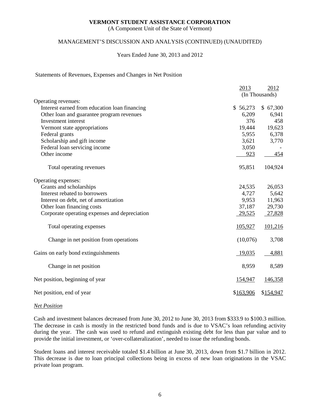(A Component Unit of the State of Vermont)

# MANAGEMENT'S DISCUSSION AND ANALYSIS (CONTINUED) (UNAUDITED)

#### Years Ended June 30, 2013 and 2012

#### Statements of Revenues, Expenses and Changes in Net Position

|                                               | 2013      | 2012           |
|-----------------------------------------------|-----------|----------------|
|                                               |           | (In Thousands) |
| Operating revenues:                           |           |                |
| Interest earned from education loan financing | \$56,273  | \$67,300       |
| Other loan and guarantee program revenues     | 6,209     | 6,941          |
| Investment interest                           | 376       | 458            |
| Vermont state appropriations                  | 19,444    | 19,623         |
| Federal grants                                | 5,955     | 6,378          |
| Scholarship and gift income                   | 3,621     | 3,770          |
| Federal loan servicing income                 | 3,050     |                |
| Other income                                  | 923       | 454            |
| Total operating revenues                      | 95,851    | 104,924        |
| Operating expenses:                           |           |                |
| Grants and scholarships                       | 24,535    | 26,053         |
| Interest rebated to borrowers                 | 4,727     | 5,642          |
| Interest on debt, net of amortization         | 9,953     | 11,963         |
| Other loan financing costs                    | 37,187    | 29,730         |
| Corporate operating expenses and depreciation | 29,525    | 27,828         |
| Total operating expenses                      | 105,927   | 101,216        |
| Change in net position from operations        | (10,076)  | 3,708          |
| Gains on early bond extinguishments           | 19,035    | 4,881          |
| Change in net position                        | 8,959     | 8,589          |
| Net position, beginning of year               | 154,947   | 146,358        |
| Net position, end of year                     | \$163,906 | \$154,947      |

#### *Net Position*

Cash and investment balances decreased from June 30, 2012 to June 30, 2013 from \$333.9 to \$100.3 million. The decrease in cash is mostly in the restricted bond funds and is due to VSAC's loan refunding activity during the year. The cash was used to refund and extinguish existing debt for less than par value and to provide the initial investment, or 'over-collateralization', needed to issue the refunding bonds.

Student loans and interest receivable totaled \$1.4 billion at June 30, 2013, down from \$1.7 billion in 2012. This decrease is due to loan principal collections being in excess of new loan originations in the VSAC private loan program.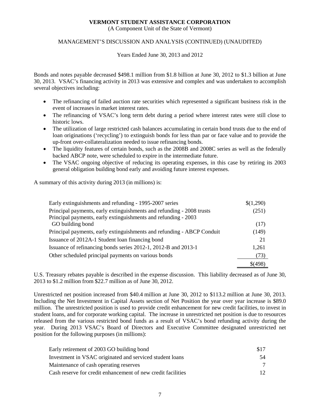(A Component Unit of the State of Vermont)

# MANAGEMENT'S DISCUSSION AND ANALYSIS (CONTINUED) (UNAUDITED)

Years Ended June 30, 2013 and 2012

Bonds and notes payable decreased \$498.1 million from \$1.8 billion at June 30, 2012 to \$1.3 billion at June 30, 2013. VSAC's financing activity in 2013 was extensive and complex and was undertaken to accomplish several objectives including:

- The refinancing of failed auction rate securities which represented a significant business risk in the event of increases in market interest rates.
- The refinancing of VSAC's long term debt during a period where interest rates were still close to historic lows.
- The utilization of large restricted cash balances accumulating in certain bond trusts due to the end of loan originations ('recycling') to extinguish bonds for less than par or face value and to provide the up-front over-collateralization needed to issue refinancing bonds.
- The liquidity features of certain bonds, such as the 2008B and 2008C series as well as the federally backed ABCP note, were scheduled to expire in the intermediate future.
- The VSAC ongoing objective of reducing its operating expenses, in this case by retiring its 2003 general obligation building bond early and avoiding future interest expenses.

A summary of this activity during 2013 (in millions) is:

| Early extinguishments and refunding - 1995-2007 series                 | \$(1,290)   |
|------------------------------------------------------------------------|-------------|
| Principal payments, early extinguishments and refunding - 2008 trusts  | (251)       |
| Principal payments, early extinguishments and refunding - 2003         |             |
| GO building bond                                                       | (17)        |
| Principal payments, early extinguishments and refunding - ABCP Conduit | (149)       |
| Issuance of 2012A-1 Student loan financing bond                        | 21          |
| Issuance of refinancing bonds series 2012-1, 2012-B and 2013-1         | 1,261       |
| Other scheduled principal payments on various bonds                    | (73)        |
|                                                                        | $$^{(498)}$ |

U.S. Treasury rebates payable is described in the expense discussion. This liability decreased as of June 30, 2013 to \$1.2 million from \$22.7 million as of June 30, 2012.

Unrestricted net position increased from \$40.4 million at June 30, 2012 to \$113.2 million at June 30, 2013. Including the Net Investment in Capital Assets section of Net Position the year over year increase is \$89.0 million. The unrestricted position is used to provide credit enhancement for new credit facilities, to invest in student loans, and for corporate working capital. The increase in unrestricted net position is due to resources released from the various restricted bond funds as a result of VSAC's bond refunding activity during the year. During 2013 VSAC's Board of Directors and Executive Committee designated unrestricted net position for the following purposes (in millions):

| Early retirement of 2003 GO building bond                    | \$17 |
|--------------------------------------------------------------|------|
| Investment in VSAC originated and serviced student loans     | 54   |
| Maintenance of cash operating reserves                       |      |
| Cash reserve for credit enhancement of new credit facilities |      |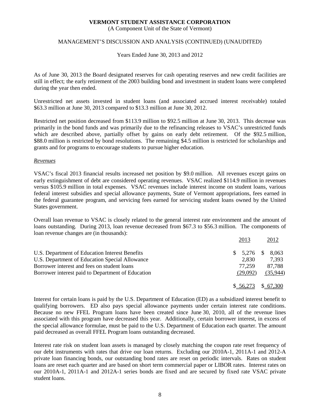(A Component Unit of the State of Vermont)

# MANAGEMENT'S DISCUSSION AND ANALYSIS (CONTINUED) (UNAUDITED)

Years Ended June 30, 2013 and 2012

As of June 30, 2013 the Board designated reserves for cash operating reserves and new credit facilities are still in effect; the early retirement of the 2003 building bond and investment in student loans were completed during the year then ended.

Unrestricted net assets invested in student loans (and associated accrued interest receivable) totaled \$63.3 million at June 30, 2013 compared to \$13.3 million at June 30, 2012.

Restricted net position decreased from \$113.9 million to \$92.5 million at June 30, 2013. This decrease was primarily in the bond funds and was primarily due to the refinancing releases to VSAC's unrestricted funds which are described above, partially offset by gains on early debt retirement. Of the \$92.5 million, \$88.0 million is restricted by bond resolutions. The remaining \$4.5 million is restricted for scholarships and grants and for programs to encourage students to pursue higher education.

#### *Revenues*

VSAC's fiscal 2013 financial results increased net position by \$9.0 million. All revenues except gains on early extinguishment of debt are considered operating revenues. VSAC realized \$114.9 million in revenues versus \$105.9 million in total expenses. VSAC revenues include interest income on student loans, various federal interest subsidies and special allowance payments, State of Vermont appropriations, fees earned in the federal guarantee program, and servicing fees earned for servicing student loans owned by the United States government.

Overall loan revenue to VSAC is closely related to the general interest rate environment and the amount of loans outstanding. During 2013, loan revenue decreased from \$67.3 to \$56.3 million. The components of loan revenue changes are (in thousands): 2013 2012

|                                                   | 2013              | 2012                |
|---------------------------------------------------|-------------------|---------------------|
| U.S. Department of Education Interest Benefits    | $$5,276$ $$8,063$ |                     |
| U.S. Department of Education Special Allowance    | 2,830             | 7,393               |
| Borrower interest and fees on student loans       | 77.259            | 87,788              |
| Borrower interest paid to Department of Education | (29,092)          | (35,944)            |
|                                                   |                   | $$56,273$ $$67,300$ |

Interest for certain loans is paid by the U.S. Department of Education (ED) as a subsidized interest benefit to qualifying borrowers. ED also pays special allowance payments under certain interest rate conditions. Because no new FFEL Program loans have been created since June 30, 2010, all of the revenue lines associated with this program have decreased this year. Additionally, certain borrower interest, in excess of the special allowance formulae, must be paid to the U.S. Department of Education each quarter. The amount paid decreased as overall FFEL Program loans outstanding decreased.

Interest rate risk on student loan assets is managed by closely matching the coupon rate reset frequency of our debt instruments with rates that drive our loan returns. Excluding our 2010A-1, 2011A-1 and 2012-A private loan financing bonds, our outstanding bond rates are reset on periodic intervals. Rates on student loans are reset each quarter and are based on short term commercial paper or LIBOR rates. Interest rates on our 2010A-1, 2011A-1 and 2012A-1 series bonds are fixed and are secured by fixed rate VSAC private student loans.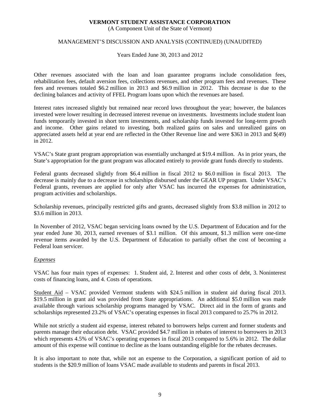(A Component Unit of the State of Vermont)

# MANAGEMENT'S DISCUSSION AND ANALYSIS (CONTINUED) (UNAUDITED)

Years Ended June 30, 2013 and 2012

Other revenues associated with the loan and loan guarantee programs include consolidation fees, rehabilitation fees, default aversion fees, collections revenues, and other program fees and revenues. These fees and revenues totaled \$6.2 million in 2013 and \$6.9 million in 2012. This decrease is due to the declining balances and activity of FFEL Program loans upon which the revenues are based.

Interest rates increased slightly but remained near record lows throughout the year; however, the balances invested were lower resulting in decreased interest revenue on investments. Investments include student loan funds temporarily invested in short term investments, and scholarship funds invested for long-term growth and income. Other gains related to investing, both realized gains on sales and unrealized gains on appreciated assets held at year end are reflected in the Other Revenue line and were \$363 in 2013 and \$(49) in 2012.

VSAC's State grant program appropriation was essentially unchanged at \$19.4 million. As in prior years, the State's appropriation for the grant program was allocated entirely to provide grant funds directly to students.

Federal grants decreased slightly from \$6.4 million in fiscal 2012 to \$6.0 million in fiscal 2013. The decrease is mainly due to a decrease in scholarships disbursed under the GEAR UP program. Under VSAC's Federal grants, revenues are applied for only after VSAC has incurred the expenses for administration, program activities and scholarships.

Scholarship revenues, principally restricted gifts and grants, decreased slightly from \$3.8 million in 2012 to \$3.6 million in 2013.

In November of 2012, VSAC began servicing loans owned by the U.S. Department of Education and for the year ended June 30, 2013, earned revenues of \$3.1 million. Of this amount, \$1.3 million were one-time revenue items awarded by the U.S. Department of Education to partially offset the cost of becoming a Federal loan servicer.

#### *Expenses*

VSAC has four main types of expenses: 1. Student aid, 2. Interest and other costs of debt, 3. Noninterest costs of financing loans, and 4. Costs of operations.

Student Aid – VSAC provided Vermont students with \$24.5 million in student aid during fiscal 2013. \$19.5 million in grant aid was provided from State appropriations. An additional \$5.0 million was made available through various scholarship programs managed by VSAC. Direct aid in the form of grants and scholarships represented 23.2% of VSAC's operating expenses in fiscal 2013 compared to 25.7% in 2012.

While not strictly a student aid expense, interest rebated to borrowers helps current and former students and parents manage their education debt. VSAC provided \$4.7 million in rebates of interest to borrowers in 2013 which represents 4.5% of VSAC's operating expenses in fiscal 2013 compared to 5.6% in 2012. The dollar amount of this expense will continue to decline as the loans outstanding eligible for the rebates decreases.

It is also important to note that, while not an expense to the Corporation, a significant portion of aid to students is the \$20.9 million of loans VSAC made available to students and parents in fiscal 2013.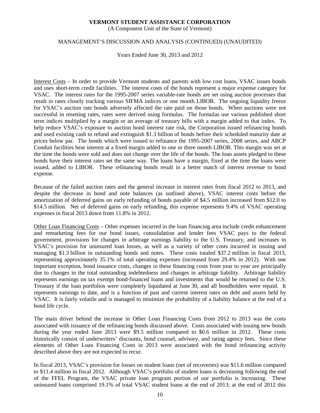(A Component Unit of the State of Vermont)

# MANAGEMENT'S DISCUSSION AND ANALYSIS (CONTINUED) (UNAUDITED)

Years Ended June 30, 2013 and 2012

Interest Costs – In order to provide Vermont students and parents with low cost loans, VSAC issues bonds and uses short-term credit facilities. The interest costs of the bonds represent a major expense category for VSAC. The interest rates for the 1995-2007 series variable-rate bonds are set using auction processes that result in rates closely tracking various SIFMA indices or one month LIBOR. The ongoing liquidity freeze for VSAC's auction rate bonds adversely affected the rate paid on those bonds. When auctions were not successful in resetting rates, rates were derived using formulas. The formulas use various published short term indices multiplied by a margin or an average of treasury bills with a margin added to that index. To help reduce VSAC's exposure to auction bond interest rate risk, the Corporation issued refinancing bonds and used existing cash to refund and extinguish \$1.3 billion of bonds before their scheduled maturity date at prices below par. The bonds which were issued to refinance the 1995-2007 series, 2008 series, and ABCP Conduit facilities bear interest at a fixed margin added to one or three month LIBOR. This margin was set at the time the bonds were sold and does not change over the life of the bonds. The loan assets pledged to these bonds have their interest rates set the same way. The loans have a margin, fixed at the time the loans were issued, added to LIBOR. These refinancing bonds result in a better match of interest revenue to bond expense.

Because of the failed auction rates and the general increase in interest rates from fiscal 2012 to 2013, and despite the decrease in bond and note balances (as outlined above), VSAC interest costs before the amortization of deferred gains on early refunding of bonds payable of \$4.5 million increased from \$12.0 to \$14.5 million. Net of deferred gains on early refunding, this expense represents 9.4% of VSAC operating expenses in fiscal 2013 down from 11.8% in 2012.

Other Loan Financing Costs – Other expenses incurred in the loan financing area include credit enhancement and remarketing fees for our bond issues, consolidation and lender fees VSAC pays to the federal government, provisions for changes in arbitrage earnings liability to the U.S. Treasury, and increases in VSAC's provision for uninsured loan losses, as well as a variety of other costs incurred in issuing and managing \$1.3 billion in outstanding bonds and notes. These costs totaled \$37.2 million in fiscal 2013, representing approximately 35.1% of total operating expenses (increased from 29.4% in 2012). With one important exception, bond issuance costs, changes in these financing costs from year to year are principally due to changes in the total outstanding indebtedness and changes in arbitrage liability. Arbitrage liability represents earnings on tax exempt bond-financed loans and investments that would be returned to the U.S. Treasury if the loan portfolios were completely liquidated at June 30, and all bondholders were repaid. It represents earnings to date, and is a function of past and current interest rates on debt and assets held by VSAC. It is fairly volatile and is managed to minimize the probability of a liability balance at the end of a bond life cycle.

The main driver behind the increase in Other Loan Financing Costs from 2012 to 2013 was the costs associated with issuance of the refinancing bonds discussed above. Costs associated with issuing new bonds during the year ended June 2013 were \$9.5 million compared to \$0.6 million in 2012. These costs historically consist of underwriters' discounts, bond counsel, advisory, and rating agency fees. Since these elements of Other Loan Financing Costs in 2013 were associated with the bond refinancing activity described above they are not expected to recur.

In fiscal 2013, VSAC's provision for losses on student loans (net of recoveries) was \$11.6 million compared to \$11.4 million in fiscal 2012. Although VSAC's portfolio of student loans is decreasing following the end of the FFEL Program, the VSAC private loan program portion of our portfolio is increasing. These uninsured loans comprised 19.1% of total VSAC student loans at the end of 2013; at the end of 2012 this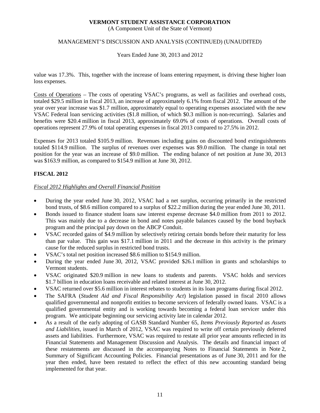(A Component Unit of the State of Vermont)

# MANAGEMENT'S DISCUSSION AND ANALYSIS (CONTINUED) (UNAUDITED)

Years Ended June 30, 2013 and 2012

value was 17.3%. This, together with the increase of loans entering repayment, is driving these higher loan loss expenses.

Costs of Operations – The costs of operating VSAC's programs, as well as facilities and overhead costs, totaled \$29.5 million in fiscal 2013, an increase of approximately 6.1% from fiscal 2012. The amount of the year over year increase was \$1.7 million, approximately equal to operating expenses associated with the new VSAC Federal loan servicing activities (\$1.8 million, of which \$0.3 million is non-recurring). Salaries and benefits were \$20.4 million in fiscal 2013, approximately 69.0% of costs of operations. Overall costs of operations represent 27.9% of total operating expenses in fiscal 2013 compared to 27.5% in 2012.

Expenses for 2013 totaled \$105.9 million. Revenues including gains on discounted bond extinguishments totaled \$114.9 million. The surplus of revenues over expenses was \$9.0 million. The change in total net position for the year was an increase of \$9.0 million. The ending balance of net position at June 30, 2013 was \$163.9 million, as compared to \$154.9 million at June 30, 2012.

# **FISCAL 2012**

# *Fiscal 2012 Highlights and Overall Financial Position*

- During the year ended June 30, 2012, VSAC had a net surplus, occurring primarily in the restricted bond trusts, of \$8.6 million compared to a surplus of \$22.2 million during the year ended June 30, 2011.
- Bonds issued to finance student loans saw interest expense decrease \$4.0 million from 2011 to 2012. This was mainly due to a decrease in bond and notes payable balances caused by the bond buyback program and the principal pay down on the ABCP Conduit.
- VSAC recorded gains of \$4.9 million by selectively retiring certain bonds before their maturity for less than par value. This gain was \$17.1 million in 2011 and the decrease in this activity is the primary cause for the reduced surplus in restricted bond trusts.
- VSAC's total net position increased \$8.6 million to \$154.9 million.
- During the year ended June 30, 2012, VSAC provided \$26.1 million in grants and scholarships to Vermont students.
- VSAC originated \$20.9 million in new loans to students and parents. VSAC holds and services \$1.7 billion in education loans receivable and related interest at June 30, 2012.
- VSAC returned over \$5.6 million in interest rebates to students in its loan programs during fiscal 2012.
- The SAFRA (*Student Aid and Fiscal Responsibility Act*) legislation passed in fiscal 2010 allows qualified governmental and nonprofit entities to become servicers of federally owned loans. VSAC is a qualified governmental entity and is working towards becoming a federal loan servicer under this program. We anticipate beginning our servicing activity late in calendar 2012.
- As a result of the early adopting of GASB Standard Number 65, *Items Previously Reported as Assets and Liabilities*, issued in March of 2012, VSAC was required to write off certain previously deferred assets and liabilities. Furthermore, VSAC was required to restate all prior year amounts reflected in its Financial Statements and Management Discussion and Analysis. The details and financial impact of these restatements are discussed in the accompanying Notes to Financial Statements in Note 2, Summary of Significant Accounting Policies. Financial presentations as of June 30, 2011 and for the year then ended, have been restated to reflect the effect of this new accounting standard being implemented for that year.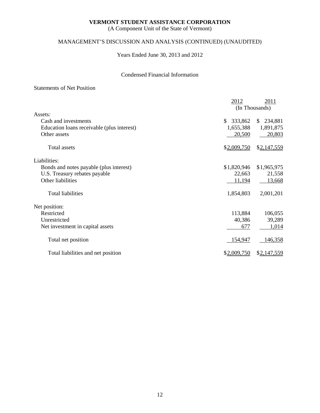(A Component Unit of the State of Vermont)

# MANAGEMENT'S DISCUSSION AND ANALYSIS (CONTINUED) (UNAUDITED)

Years Ended June 30, 2013 and 2012

# Condensed Financial Information

# Statements of Net Position

|                                            | 2012                    | 2011                      |
|--------------------------------------------|-------------------------|---------------------------|
|                                            |                         | (In Thousands)            |
| Assets:                                    |                         |                           |
| Cash and investments                       | 333,862<br>$\mathbb{S}$ | 234,881<br>$\mathbb{S}^-$ |
| Education loans receivable (plus interest) | 1,655,388               | 1,891,875                 |
| Other assets                               | 20,500                  | 20,803                    |
| Total assets                               | \$2,009,750             | \$2,147,559               |
| Liabilities:                               |                         |                           |
| Bonds and notes payable (plus interest)    | \$1,820,946             | \$1,965,975               |
| U.S. Treasury rebates payable              | 22,663                  | 21,558                    |
| Other liabilities                          | 11,194                  | 13,668                    |
| <b>Total liabilities</b>                   | 1,854,803               | 2,001,201                 |
| Net position:                              |                         |                           |
| Restricted                                 | 113,884                 | 106,055                   |
| Unrestricted                               | 40,386                  | 39,289                    |
| Net investment in capital assets           | 677                     | 1,014                     |
| Total net position                         | 154,947                 | 146,358                   |
| Total liabilities and net position         | \$2,009,750             | \$2,147,559               |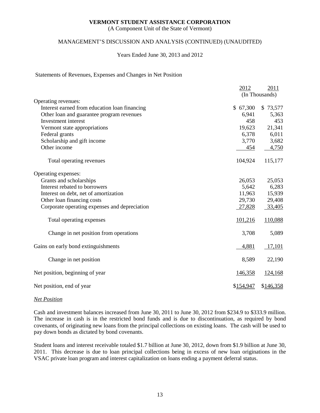(A Component Unit of the State of Vermont)

# MANAGEMENT'S DISCUSSION AND ANALYSIS (CONTINUED) (UNAUDITED)

### Years Ended June 30, 2013 and 2012

#### Statements of Revenues, Expenses and Changes in Net Position

|                                               | 2012      | 2011           |
|-----------------------------------------------|-----------|----------------|
|                                               |           | (In Thousands) |
| Operating revenues:                           |           |                |
| Interest earned from education loan financing | \$67,300  | \$73,577       |
| Other loan and guarantee program revenues     | 6,941     | 5,363          |
| Investment interest                           | 458       | 453            |
| Vermont state appropriations                  | 19,623    | 21,341         |
| Federal grants                                | 6,378     | 6,011          |
| Scholarship and gift income                   | 3,770     | 3,682          |
| Other income                                  | 454       | 4,750          |
| Total operating revenues                      | 104,924   | 115,177        |
| Operating expenses:                           |           |                |
| Grants and scholarships                       | 26,053    | 25,053         |
| Interest rebated to borrowers                 | 5,642     | 6,283          |
| Interest on debt, net of amortization         | 11,963    | 15,939         |
| Other loan financing costs                    | 29,730    | 29,408         |
| Corporate operating expenses and depreciation | 27,828    | 33,405         |
| Total operating expenses                      | 101,216   | 110,088        |
| Change in net position from operations        | 3,708     | 5,089          |
| Gains on early bond extinguishments           | 4,881     | 17,101         |
| Change in net position                        | 8,589     | 22,190         |
| Net position, beginning of year               | 146,358   | 124,168        |
| Net position, end of year                     | \$154,947 | \$146,358      |

# *Net Position*

Cash and investment balances increased from June 30, 2011 to June 30, 2012 from \$234.9 to \$333.9 million. The increase in cash is in the restricted bond funds and is due to discontinuation, as required by bond covenants, of originating new loans from the principal collections on existing loans. The cash will be used to pay down bonds as dictated by bond covenants.

Student loans and interest receivable totaled \$1.7 billion at June 30, 2012, down from \$1.9 billion at June 30, 2011. This decrease is due to loan principal collections being in excess of new loan originations in the VSAC private loan program and interest capitalization on loans ending a payment deferral status.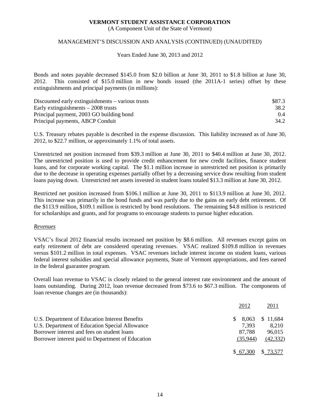(A Component Unit of the State of Vermont)

# MANAGEMENT'S DISCUSSION AND ANALYSIS (CONTINUED) (UNAUDITED)

Years Ended June 30, 2013 and 2012

Bonds and notes payable decreased \$145.0 from \$2.0 billion at June 30, 2011 to \$1.8 billion at June 30, 2012. This consisted of \$15.0 million in new bonds issued (the 2011A-1 series) offset by these extinguishments and principal payments (in millions):

| Discounted early extinguishments – various trusts | \$87.3 |
|---------------------------------------------------|--------|
| Early extinguishments $-2008$ trusts              | 38.2   |
| Principal payment, 2003 GO building bond          | 04     |
| Principal payments, ABCP Conduit                  | 34.2   |

U.S. Treasury rebates payable is described in the expense discussion. This liability increased as of June 30, 2012, to \$22.7 million, or approximately 1.1% of total assets.

Unrestricted net position increased from \$39.3 million at June 30, 2011 to \$40.4 million at June 30, 2012. The unrestricted position is used to provide credit enhancement for new credit facilities, finance student loans, and for corporate working capital. The \$1.1 million increase in unrestricted net position is primarily due to the decrease in operating expenses partially offset by a decreasing service draw resulting from student loans paying down. Unrestricted net assets invested in student loans totaled \$13.3 million at June 30, 2012.

Restricted net position increased from \$106.1 million at June 30, 2011 to \$113.9 million at June 30, 2012. This increase was primarily in the bond funds and was partly due to the gains on early debt retirement. Of the \$113.9 million, \$109.1 million is restricted by bond resolutions. The remaining \$4.8 million is restricted for scholarships and grants, and for programs to encourage students to pursue higher education.

### *Revenues*

VSAC's fiscal 2012 financial results increased net position by \$8.6 million. All revenues except gains on early retirement of debt are considered operating revenues. VSAC realized \$109.8 million in revenues versus \$101.2 million in total expenses. VSAC revenues include interest income on student loans, various federal interest subsidies and special allowance payments, State of Vermont appropriations, and fees earned in the federal guarantee program.

Overall loan revenue to VSAC is closely related to the general interest rate environment and the amount of loans outstanding. During 2012, loan revenue decreased from \$73.6 to \$67.3 million. The components of loan revenue changes are (in thousands):

|                                                   | 2012               | 2011      |
|---------------------------------------------------|--------------------|-----------|
| U.S. Department of Education Interest Benefits    | $$8,063$ $$11,684$ |           |
| U.S. Department of Education Special Allowance    | 7.393              | 8,210     |
| Borrower interest and fees on student loans       | 87.788             | 96,015    |
| Borrower interest paid to Department of Education | (35,944)           | (42, 332) |
|                                                   | \$ 67.300          | \$ 73,577 |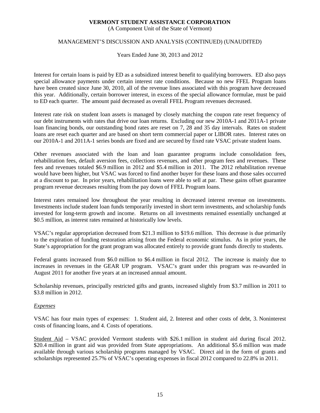(A Component Unit of the State of Vermont)

# MANAGEMENT'S DISCUSSION AND ANALYSIS (CONTINUED) (UNAUDITED)

Years Ended June 30, 2013 and 2012

Interest for certain loans is paid by ED as a subsidized interest benefit to qualifying borrowers. ED also pays special allowance payments under certain interest rate conditions. Because no new FFEL Program loans have been created since June 30, 2010, all of the revenue lines associated with this program have decreased this year. Additionally, certain borrower interest, in excess of the special allowance formulae, must be paid to ED each quarter. The amount paid decreased as overall FFEL Program revenues decreased.

Interest rate risk on student loan assets is managed by closely matching the coupon rate reset frequency of our debt instruments with rates that drive our loan returns. Excluding our new 2010A-1 and 2011A-1 private loan financing bonds, our outstanding bond rates are reset on 7, 28 and 35 day intervals. Rates on student loans are reset each quarter and are based on short term commercial paper or LIBOR rates. Interest rates on our 2010A-1 and 2011A-1 series bonds are fixed and are secured by fixed rate VSAC private student loans.

Other revenues associated with the loan and loan guarantee programs include consolidation fees, rehabilitation fees, default aversion fees, collections revenues, and other program fees and revenues. These fees and revenues totaled \$6.9 million in 2012 and \$5.4 million in 2011. The 2012 rehabilitation revenue would have been higher, but VSAC was forced to find another buyer for these loans and those sales occurred at a discount to par. In prior years, rehabilitation loans were able to sell at par. These gains offset guarantee program revenue decreases resulting from the pay down of FFEL Program loans.

Interest rates remained low throughout the year resulting in decreased interest revenue on investments. Investments include student loan funds temporarily invested in short term investments, and scholarship funds invested for long-term growth and income. Returns on all investments remained essentially unchanged at \$0.5 million, as interest rates remained at historically low levels.

VSAC's regular appropriation decreased from \$21.3 million to \$19.6 million. This decrease is due primarily to the expiration of funding restoration arising from the Federal economic stimulus. As in prior years, the State's appropriation for the grant program was allocated entirely to provide grant funds directly to students.

Federal grants increased from \$6.0 million to \$6.4 million in fiscal 2012. The increase is mainly due to increases in revenues in the GEAR UP program. VSAC's grant under this program was re-awarded in August 2011 for another five years at an increased annual amount.

Scholarship revenues, principally restricted gifts and grants, increased slightly from \$3.7 million in 2011 to \$3.8 million in 2012.

#### *Expenses*

VSAC has four main types of expenses: 1. Student aid, 2. Interest and other costs of debt, 3. Noninterest costs of financing loans, and 4. Costs of operations.

Student Aid – VSAC provided Vermont students with \$26.1 million in student aid during fiscal 2012. \$20.4 million in grant aid was provided from State appropriations. An additional \$5.6 million was made available through various scholarship programs managed by VSAC. Direct aid in the form of grants and scholarships represented 25.7% of VSAC's operating expenses in fiscal 2012 compared to 22.8% in 2011.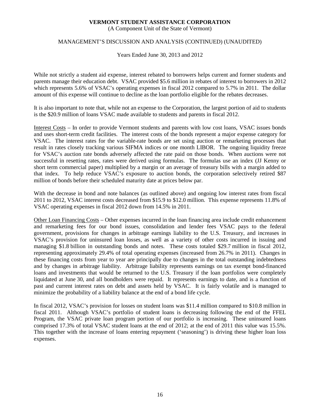(A Component Unit of the State of Vermont)

# MANAGEMENT'S DISCUSSION AND ANALYSIS (CONTINUED) (UNAUDITED)

Years Ended June 30, 2013 and 2012

While not strictly a student aid expense, interest rebated to borrowers helps current and former students and parents manage their education debt. VSAC provided \$5.6 million in rebates of interest to borrowers in 2012 which represents 5.6% of VSAC's operating expenses in fiscal 2012 compared to 5.7% in 2011. The dollar amount of this expense will continue to decline as the loan portfolio eligible for the rebates decreases.

It is also important to note that, while not an expense to the Corporation, the largest portion of aid to students is the \$20.9 million of loans VSAC made available to students and parents in fiscal 2012.

Interest Costs – In order to provide Vermont students and parents with low cost loans, VSAC issues bonds and uses short-term credit facilities. The interest costs of the bonds represent a major expense category for VSAC. The interest rates for the variable-rate bonds are set using auction or remarketing processes that result in rates closely tracking various SIFMA indices or one month LIBOR. The ongoing liquidity freeze for VSAC's auction rate bonds adversely affected the rate paid on those bonds. When auctions were not successful in resetting rates, rates were derived using formulas. The formulas use an index (JJ Kenny or short term commercial paper) multiplied by a margin or an average of treasury bills with a margin added to that index. To help reduce VSAC's exposure to auction bonds, the corporation selectively retired \$87 million of bonds before their scheduled maturity date at prices below par.

With the decrease in bond and note balances (as outlined above) and ongoing low interest rates from fiscal 2011 to 2012, VSAC interest costs decreased from \$15.9 to \$12.0 million. This expense represents 11.8% of VSAC operating expenses in fiscal 2012 down from 14.5% in 2011.

Other Loan Financing Costs – Other expenses incurred in the loan financing area include credit enhancement and remarketing fees for our bond issues, consolidation and lender fees VSAC pays to the federal government, provisions for changes in arbitrage earnings liability to the U.S. Treasury, and increases in VSAC's provision for uninsured loan losses, as well as a variety of other costs incurred in issuing and managing \$1.8 billion in outstanding bonds and notes. These costs totaled \$29.7 million in fiscal 2012, representing approximately 29.4% of total operating expenses (increased from 26.7% in 2011). Changes in these financing costs from year to year are principally due to changes in the total outstanding indebtedness and by changes in arbitrage liability. Arbitrage liability represents earnings on tax exempt bond-financed loans and investments that would be returned to the U.S. Treasury if the loan portfolios were completely liquidated at June 30, and all bondholders were repaid. It represents earnings to date, and is a function of past and current interest rates on debt and assets held by VSAC. It is fairly volatile and is managed to minimize the probability of a liability balance at the end of a bond life cycle.

In fiscal 2012, VSAC's provision for losses on student loans was \$11.4 million compared to \$10.8 million in fiscal 2011. Although VSAC's portfolio of student loans is decreasing following the end of the FFEL Program, the VSAC private loan program portion of our portfolio is increasing. These uninsured loans comprised 17.3% of total VSAC student loans at the end of 2012; at the end of 2011 this value was 15.5%. This together with the increase of loans entering repayment ('seasoning') is driving these higher loan loss expenses.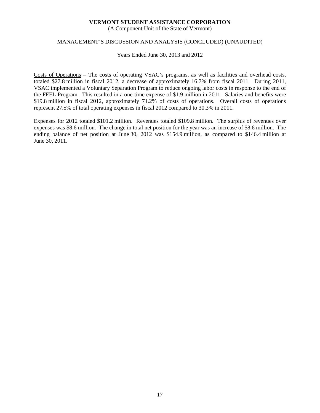(A Component Unit of the State of Vermont)

# MANAGEMENT'S DISCUSSION AND ANALYSIS (CONCLUDED) (UNAUDITED)

#### Years Ended June 30, 2013 and 2012

Costs of Operations – The costs of operating VSAC's programs, as well as facilities and overhead costs, totaled \$27.8 million in fiscal 2012, a decrease of approximately 16.7% from fiscal 2011. During 2011, VSAC implemented a Voluntary Separation Program to reduce ongoing labor costs in response to the end of the FFEL Program. This resulted in a one-time expense of \$1.9 million in 2011. Salaries and benefits were \$19.8 million in fiscal 2012, approximately 71.2% of costs of operations. Overall costs of operations represent 27.5% of total operating expenses in fiscal 2012 compared to 30.3% in 2011.

Expenses for 2012 totaled \$101.2 million. Revenues totaled \$109.8 million. The surplus of revenues over expenses was \$8.6 million. The change in total net position for the year was an increase of \$8.6 million. The ending balance of net position at June 30, 2012 was \$154.9 million, as compared to \$146.4 million at June 30, 2011.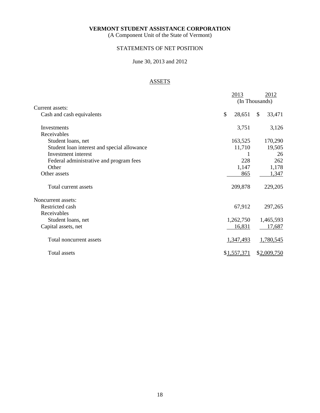(A Component Unit of the State of Vermont)

# STATEMENTS OF NET POSITION

# June 30, 2013 and 2012

# **ASSETS**

|                                             |    | 2013        | 2012           |
|---------------------------------------------|----|-------------|----------------|
|                                             |    |             | (In Thousands) |
| Current assets:                             |    |             |                |
| Cash and cash equivalents                   | \$ | 28,651      | \$<br>33,471   |
| Investments                                 |    | 3,751       | 3,126          |
| Receivables                                 |    |             |                |
| Student loans, net                          |    | 163,525     | 170,290        |
| Student loan interest and special allowance |    | 11,710      | 19,505         |
| Investment interest                         |    | 1           | 26             |
| Federal administrative and program fees     |    | 228         | 262            |
| Other                                       |    | 1,147       | 1,178          |
| Other assets                                |    | 865         | 1,347          |
| Total current assets                        |    | 209,878     | 229,205        |
| Noncurrent assets:                          |    |             |                |
| Restricted cash                             |    | 67,912      | 297,265        |
| Receivables                                 |    |             |                |
| Student loans, net                          |    | 1,262,750   | 1,465,593      |
| Capital assets, net                         |    | 16,831      | 17,687         |
| Total noncurrent assets                     |    | 1,347,493   | 1,780,545      |
| <b>Total assets</b>                         |    | \$1,557,371 | \$2,009,750    |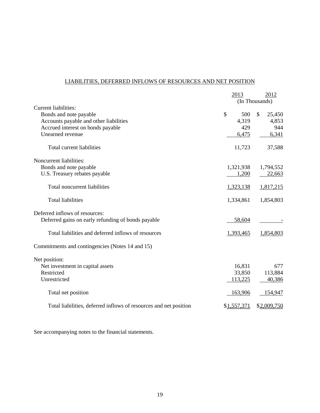# LIABILITIES, DEFERRED INFLOWS OF RESOURCES AND NET POSITION

|                                                                   | 2013 |             | 2012<br>(In Thousands) |             |
|-------------------------------------------------------------------|------|-------------|------------------------|-------------|
| Current liabilities:                                              |      |             |                        |             |
| Bonds and note payable                                            | \$   | 500         | \$                     | 25,450      |
| Accounts payable and other liabilities                            |      | 4,319       |                        | 4,853       |
| Accrued interest on bonds payable                                 |      | 429         |                        | 944         |
| Unearned revenue                                                  |      | 6,475       |                        | 6,341       |
| Total current liabilities                                         |      | 11,723      |                        | 37,588      |
| Noncurrent liabilities:                                           |      |             |                        |             |
| Bonds and note payable                                            |      | 1,321,938   |                        | 1,794,552   |
| U.S. Treasury rebates payable                                     |      | 1,200       |                        | 22,663      |
| Total noncurrent liabilities                                      |      | 1,323,138   |                        | 1,817,215   |
| <b>Total liabilities</b>                                          |      | 1,334,861   |                        | 1,854,803   |
| Deferred inflows of resources:                                    |      |             |                        |             |
| Deferred gains on early refunding of bonds payable                |      | 58,604      |                        |             |
| Total liabilities and deferred inflows of resources               |      | 1,393,465   |                        | 1,854,803   |
| Commitments and contingencies (Notes 14 and 15)                   |      |             |                        |             |
| Net position:                                                     |      |             |                        |             |
| Net investment in capital assets                                  |      | 16,831      |                        | 677         |
| Restricted                                                        |      | 33,850      |                        | 113,884     |
| Unrestricted                                                      |      | 113,225     |                        | 40,386      |
| Total net position                                                |      | 163,906     |                        | 154,947     |
| Total liabilities, deferred inflows of resources and net position |      | \$1,557,371 |                        | \$2,009,750 |

See accompanying notes to the financial statements.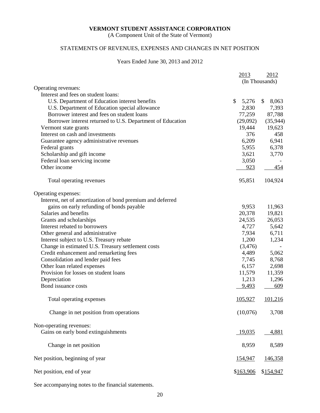(A Component Unit of the State of Vermont)

# STATEMENTS OF REVENUES, EXPENSES AND CHANGES IN NET POSITION

# Years Ended June 30, 2013 and 2012

|                                                            | 2013                  | 2012           |
|------------------------------------------------------------|-----------------------|----------------|
|                                                            |                       | (In Thousands) |
| Operating revenues:                                        |                       |                |
| Interest and fees on student loans:                        |                       |                |
| U.S. Department of Education interest benefits             | $\mathbb{S}$<br>5,276 | \$<br>8,063    |
| U.S. Department of Education special allowance             | 2,830                 | 7,393          |
| Borrower interest and fees on student loans                | 77,259                | 87,788         |
| Borrower interest returned to U.S. Department of Education | (29,092)              | (35, 944)      |
| Vermont state grants                                       | 19,444                | 19,623         |
| Interest on cash and investments                           | 376                   | 458            |
| Guarantee agency administrative revenues                   | 6,209                 | 6,941          |
| Federal grants                                             | 5,955                 | 6,378          |
| Scholarship and gift income                                | 3,621                 | 3,770          |
| Federal loan servicing income                              | 3,050                 |                |
| Other income                                               | 923                   | 454            |
|                                                            |                       |                |
| Total operating revenues                                   | 95,851                | 104,924        |
| Operating expenses:                                        |                       |                |
| Interest, net of amortization of bond premium and deferred |                       |                |
| gains on early refunding of bonds payable                  | 9,953                 | 11,963         |
| Salaries and benefits                                      | 20,378                | 19,821         |
| Grants and scholarships                                    | 24,535                | 26,053         |
| Interest rebated to borrowers                              | 4,727                 | 5,642          |
| Other general and administrative                           | 7,934                 | 6,711          |
| Interest subject to U.S. Treasury rebate                   | 1,200                 | 1,234          |
| Change in estimated U.S. Treasury settlement costs         | (3,476)               |                |
| Credit enhancement and remarketing fees                    | 4,489                 | 5,062          |
| Consolidation and lender paid fees                         | 7,745                 | 8,768          |
| Other loan related expenses                                | 6,157                 | 2,698          |
| Provision for losses on student loans                      | 11,579                | 11,359         |
| Depreciation                                               | 1,213                 | 1,296          |
| Bond issuance costs                                        | 9,493                 | 609            |
| Total operating expenses                                   | 105,927               | 101,216        |
| Change in net position from operations                     | (10,076)              | 3,708          |
|                                                            |                       |                |
| Non-operating revenues:                                    |                       |                |
| Gains on early bond extinguishments                        | 19,035                | 4,881          |
| Change in net position                                     | 8,959                 | 8,589          |
| Net position, beginning of year                            | 154,947               | 146,358        |
| Net position, end of year                                  | \$163,906             | \$154,947      |

See accompanying notes to the financial statements.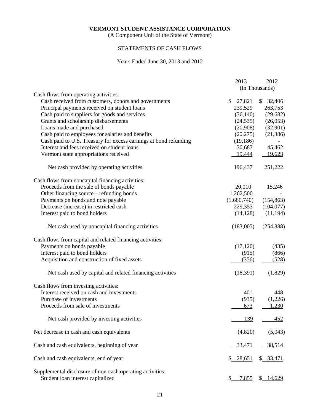(A Component Unit of the State of Vermont)

# STATEMENTS OF CASH FLOWS

# Years Ended June 30, 2013 and 2012

|                                                                  | 2013                   | 2012           |
|------------------------------------------------------------------|------------------------|----------------|
|                                                                  |                        | (In Thousands) |
| Cash flows from operating activities:                            |                        |                |
| Cash received from customers, donors and governments             | \$<br>27,821           | \$32,406       |
| Principal payments received on student loans                     | 239,529                | 263,753        |
| Cash paid to suppliers for goods and services                    | (36, 140)              | (29, 682)      |
| Grants and scholarship disbursements                             | (24, 535)              | (26,053)       |
| Loans made and purchased                                         | (20,908)               | (32,901)       |
| Cash paid to employees for salaries and benefits                 | (20, 275)              | (21, 386)      |
| Cash paid to U.S. Treasury for excess earnings at bond refunding | (19, 186)              |                |
| Interest and fees received on student loans                      | 30,687                 | 45,462         |
| Vermont state appropriations received                            | 19,444                 | 19,623         |
|                                                                  |                        |                |
| Net cash provided by operating activities                        | 196,437                | 251,222        |
| Cash flows from noncapital financing activities:                 |                        |                |
| Proceeds from the sale of bonds payable                          | 20,010                 | 15,246         |
| Other financing source – refunding bonds                         | 1,262,500              |                |
| Payments on bonds and note payable                               | (1,680,740)            | (154, 863)     |
| Decrease (increase) in restricted cash                           | 229,353                | (104, 077)     |
| Interest paid to bond holders                                    | (14, 128)              | (11,194)       |
|                                                                  |                        |                |
| Net cash used by noncapital financing activities                 | (183,005)              | (254, 888)     |
| Cash flows from capital and related financing activities:        |                        |                |
| Payments on bonds payable                                        | (17, 120)              | (435)          |
| Interest paid to bond holders                                    | (915)                  | (866)          |
| Acquisition and construction of fixed assets                     | (356)                  | (528)          |
|                                                                  |                        |                |
| Net cash used by capital and related financing activities        | (18, 391)              | (1,829)        |
| Cash flows from investing activities:                            |                        |                |
| Interest received on cash and investments                        | 401                    | 448            |
| Purchase of investments                                          | (935)                  | (1,226)        |
| Proceeds from sale of investments                                | 673                    | 1,230          |
|                                                                  |                        |                |
| Net cash provided by investing activities                        | 139                    | 452            |
| Net decrease in cash and cash equivalents                        | (4,820)                | (5,043)        |
| Cash and cash equivalents, beginning of year                     | 33,471                 | 38,514         |
| Cash and cash equivalents, end of year                           | $\underline{\$28,651}$ | \$33,471       |
| Supplemental disclosure of non-cash operating activities:        |                        |                |
| Student loan interest capitalized                                | 7,855<br>$\frac{1}{2}$ | $$$ 14,629     |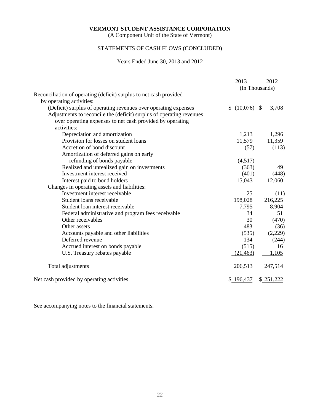(A Component Unit of the State of Vermont)

# STATEMENTS OF CASH FLOWS (CONCLUDED)

# Years Ended June 30, 2013 and 2012

|                                                                      | 2013      | 2012           |
|----------------------------------------------------------------------|-----------|----------------|
|                                                                      |           | (In Thousands) |
| Reconciliation of operating (deficit) surplus to net cash provided   |           |                |
| by operating activities:                                             |           |                |
| (Deficit) surplus of operating revenues over operating expenses      |           | 3,708          |
| Adjustments to reconcile the (deficit) surplus of operating revenues |           |                |
| over operating expenses to net cash provided by operating            |           |                |
| activities:                                                          |           |                |
| Depreciation and amortization                                        | 1,213     | 1,296          |
| Provision for losses on student loans                                | 11,579    | 11,359         |
| Accretion of bond discount                                           | (57)      | (113)          |
| Amortization of deferred gains on early                              |           |                |
| refunding of bonds payable                                           | (4,517)   |                |
| Realized and unrealized gain on investments                          | (363)     | 49             |
| Investment interest received                                         | (401)     | (448)          |
| Interest paid to bond holders                                        | 15,043    | 12,060         |
| Changes in operating assets and liabilities:                         |           |                |
| Investment interest receivable                                       | 25        | (11)           |
| Student loans receivable                                             | 198,028   | 216,225        |
| Student loan interest receivable                                     | 7,795     | 8,904          |
| Federal administrative and program fees receivable                   | 34        | 51             |
| Other receivables                                                    | 30        | (470)          |
| Other assets                                                         | 483       | (36)           |
| Accounts payable and other liabilities                               | (535)     | (2,229)        |
| Deferred revenue                                                     | 134       | (244)          |
| Accrued interest on bonds payable                                    | (515)     | 16             |
| U.S. Treasury rebates payable                                        | (21, 463) | 1,105          |
| Total adjustments                                                    | 206,513   | 247,514        |
| Net cash provided by operating activities                            | \$196,437 | \$251,222      |

See accompanying notes to the financial statements.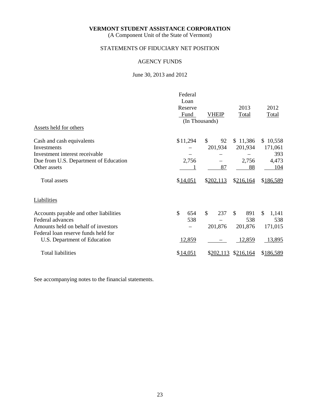(A Component Unit of the State of Vermont)

# STATEMENTS OF FIDUCIARY NET POSITION

# AGENCY FUNDS

June 30, 2013 and 2012

| Assets held for others                                                                                                                                                   | Federal<br>Loan<br>Reserve<br>Fund | <b>VHEIP</b><br>(In Thousands)      | 2013<br>Total                         | 2012<br>Total                              |
|--------------------------------------------------------------------------------------------------------------------------------------------------------------------------|------------------------------------|-------------------------------------|---------------------------------------|--------------------------------------------|
| Cash and cash equivalents<br>Investments<br>Investment interest receivable<br>Due from U.S. Department of Education<br>Other assets                                      | \$11,294<br>2,756                  | $\mathbb{S}$<br>92<br>201,934<br>87 | \$11,386<br>201,934<br>2,756<br>88    | \$10,558<br>171,061<br>393<br>4,473<br>104 |
| Total assets                                                                                                                                                             | \$14,051                           | \$202,113                           | \$216,164                             | \$186,589                                  |
| Liabilities                                                                                                                                                              |                                    |                                     |                                       |                                            |
| Accounts payable and other liabilities<br>Federal advances<br>Amounts held on behalf of investors<br>Federal loan reserve funds held for<br>U.S. Department of Education | \$<br>654<br>538<br>12,859         | $\mathbb{S}$<br>237<br>201,876      | \$<br>891<br>538<br>201,876<br>12,859 | \$.<br>1,141<br>538<br>171,015<br>13,895   |
| <b>Total liabilities</b>                                                                                                                                                 | \$14,051                           | \$202,113                           | \$216,164                             | \$186,589                                  |

See accompanying notes to the financial statements.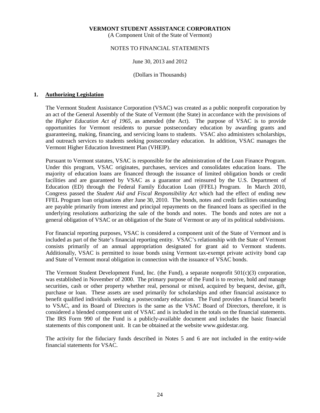(A Component Unit of the State of Vermont)

# NOTES TO FINANCIAL STATEMENTS

### June 30, 2013 and 2012

(Dollars in Thousands)

# **1. Authorizing Legislation**

The Vermont Student Assistance Corporation (VSAC) was created as a public nonprofit corporation by an act of the General Assembly of the State of Vermont (the State) in accordance with the provisions of the *Higher Education Act of 1965*, as amended (the Act). The purpose of VSAC is to provide opportunities for Vermont residents to pursue postsecondary education by awarding grants and guaranteeing, making, financing, and servicing loans to students. VSAC also administers scholarships, and outreach services to students seeking postsecondary education. In addition, VSAC manages the Vermont Higher Education Investment Plan (VHEIP).

Pursuant to Vermont statutes, VSAC is responsible for the administration of the Loan Finance Program. Under this program, VSAC originates, purchases, services and consolidates education loans. The majority of education loans are financed through the issuance of limited obligation bonds or credit facilities and are guaranteed by VSAC as a guarantor and reinsured by the U.S. Department of Education (ED) through the Federal Family Education Loan (FFEL) Program. In March 2010, Congress passed the *Student Aid and Fiscal Responsibility Act* which had the effect of ending new FFEL Program loan originations after June 30, 2010. The bonds, notes and credit facilities outstanding are payable primarily from interest and principal repayments on the financed loans as specified in the underlying resolutions authorizing the sale of the bonds and notes. The bonds and notes are not a general obligation of VSAC or an obligation of the State of Vermont or any of its political subdivisions.

For financial reporting purposes, VSAC is considered a component unit of the State of Vermont and is included as part of the State's financial reporting entity. VSAC's relationship with the State of Vermont consists primarily of an annual appropriation designated for grant aid to Vermont students. Additionally, VSAC is permitted to issue bonds using Vermont tax-exempt private activity bond cap and State of Vermont moral obligation in connection with the issuance of VSAC bonds.

The Vermont Student Development Fund, Inc. (the Fund), a separate nonprofit 501(c)(3) corporation, was established in November of 2000. The primary purpose of the Fund is to receive, hold and manage securities, cash or other property whether real, personal or mixed, acquired by bequest, devise, gift, purchase or loan. These assets are used primarily for scholarships and other financial assistance to benefit qualified individuals seeking a postsecondary education. The Fund provides a financial benefit to VSAC, and its Board of Directors is the same as the VSAC Board of Directors, therefore, it is considered a blended component unit of VSAC and is included in the totals on the financial statements. The IRS Form 990 of the Fund is a publicly-available document and includes the basic financial statements of this component unit. It can be obtained at the website www.guidestar.org.

The activity for the fiduciary funds described in Notes 5 and 6 are not included in the entity-wide financial statements for VSAC.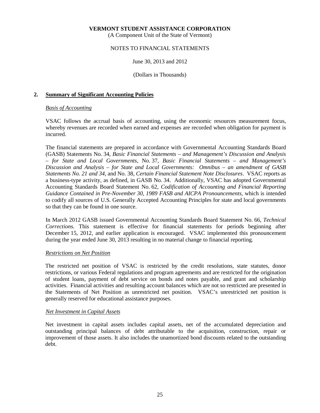(A Component Unit of the State of Vermont)

# NOTES TO FINANCIAL STATEMENTS

# June 30, 2013 and 2012

(Dollars in Thousands)

# **2. Summary of Significant Accounting Policies**

#### *Basis of Accounting*

VSAC follows the accrual basis of accounting, using the economic resources measurement focus, whereby revenues are recorded when earned and expenses are recorded when obligation for payment is incurred.

The financial statements are prepared in accordance with Governmental Accounting Standards Board (GASB) Statements No. 34, *Basic Financial Statements – and Management's Discussion and Analysis – for State and Local Governments*, No. 37, *Basic Financial Statements – and Management's Discussion and Analysis – for State and Local Governments: Omnibus – an amendment of GASB Statements No. 21 and 34*, and No. 38, *Certain Financial Statement Note Disclosures*. VSAC reports as a business-type activity, as defined, in GASB No. 34. Additionally, VSAC has adopted Governmental Accounting Standards Board Statement No. 62, *Codification of Accounting and Financial Reporting Guidance Contained in Pre-November 30, 1989 FASB and AICPA Pronouncements,* which is intended to codify all sources of U.S. Generally Accepted Accounting Principles for state and local governments so that they can be found in one source.

In March 2012 GASB issued Governmental Accounting Standards Board Statement No. 66, *Technical Corrections.* This statement is effective for financial statements for periods beginning after December 15, 2012, and earlier application is encouraged. VSAC implemented this pronouncement during the year ended June 30, 2013 resulting in no material change to financial reporting.

#### *Restrictions on Net Position*

The restricted net position of VSAC is restricted by the credit resolutions, state statutes, donor restrictions, or various Federal regulations and program agreements and are restricted for the origination of student loans, payment of debt service on bonds and notes payable, and grant and scholarship activities. Financial activities and resulting account balances which are not so restricted are presented in the Statements of Net Position as unrestricted net position. VSAC's unrestricted net position is generally reserved for educational assistance purposes.

#### *Net Investment in Capital Assets*

Net investment in capital assets includes capital assets, net of the accumulated depreciation and outstanding principal balances of debt attributable to the acquisition, construction, repair or improvement of those assets. It also includes the unamortized bond discounts related to the outstanding debt.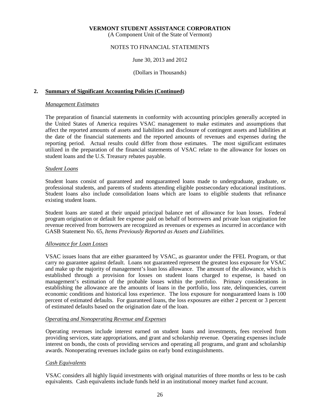(A Component Unit of the State of Vermont)

# NOTES TO FINANCIAL STATEMENTS

# June 30, 2013 and 2012

#### (Dollars in Thousands)

# **2. Summary of Significant Accounting Policies (Continued)**

#### *Management Estimates*

The preparation of financial statements in conformity with accounting principles generally accepted in the United States of America requires VSAC management to make estimates and assumptions that affect the reported amounts of assets and liabilities and disclosure of contingent assets and liabilities at the date of the financial statements and the reported amounts of revenues and expenses during the reporting period. Actual results could differ from those estimates. The most significant estimates utilized in the preparation of the financial statements of VSAC relate to the allowance for losses on student loans and the U.S. Treasury rebates payable.

#### *Student Loans*

Student loans consist of guaranteed and nonguaranteed loans made to undergraduate, graduate, or professional students, and parents of students attending eligible postsecondary educational institutions. Student loans also include consolidation loans which are loans to eligible students that refinance existing student loans.

Student loans are stated at their unpaid principal balance net of allowance for loan losses. Federal program origination or default fee expense paid on behalf of borrowers and private loan origination fee revenue received from borrowers are recognized as revenues or expenses as incurred in accordance with GASB Statement No. 65, *Items Previously Reported as Assets and Liabilities.*

#### *Allowance for Loan Losses*

VSAC issues loans that are either guaranteed by VSAC, as guarantor under the FFEL Program, or that carry no guarantee against default. Loans not guaranteed represent the greatest loss exposure for VSAC and make up the majority of management's loan loss allowance. The amount of the allowance, which is established through a provision for losses on student loans charged to expense, is based on management's estimation of the probable losses within the portfolio. Primary considerations in establishing the allowance are the amounts of loans in the portfolio, loss rate, delinquencies, current economic conditions and historical loss experience. The loss exposure for nonguaranteed loans is 100 percent of estimated defaults. For guaranteed loans, the loss exposures are either 2 percent or 3 percent of estimated defaults based on the origination date of the loan.

#### *Operating and Nonoperating Revenue and Expenses*

Operating revenues include interest earned on student loans and investments, fees received from providing services, state appropriations, and grant and scholarship revenue. Operating expenses include interest on bonds, the costs of providing services and operating all programs, and grant and scholarship awards. Nonoperating revenues include gains on early bond extinguishments.

#### *Cash Equivalents*

VSAC considers all highly liquid investments with original maturities of three months or less to be cash equivalents. Cash equivalents include funds held in an institutional money market fund account.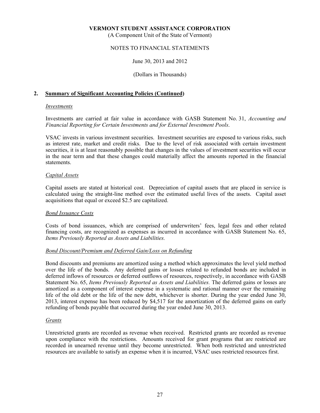(A Component Unit of the State of Vermont)

#### NOTES TO FINANCIAL STATEMENTS

#### June 30, 2013 and 2012

(Dollars in Thousands)

### **2. Summary of Significant Accounting Policies (Continued)**

#### *Investments*

 Investments are carried at fair value in accordance with GASB Statement No. 31, *Accounting and Financial Reporting for Certain Investments and for External Investment Pools*.

 VSAC invests in various investment securities. Investment securities are exposed to various risks, such as interest rate, market and credit risks. Due to the level of risk associated with certain investment securities, it is at least reasonably possible that changes in the values of investment securities will occur in the near term and that these changes could materially affect the amounts reported in the financial statements.

#### *Capital Assets*

 Capital assets are stated at historical cost. Depreciation of capital assets that are placed in service is calculated using the straight-line method over the estimated useful lives of the assets. Capital asset acquisitions that equal or exceed \$2.5 are capitalized.

#### *Bond Issuance Costs*

 Costs of bond issuances, which are comprised of underwriters' fees, legal fees and other related financing costs, are recognized as expenses as incurred in accordance with GASB Statement No. 65, *Items Previously Reported as Assets and Liabilities.*

#### *Bond Discount/Premium and Deferred Gain/Loss on Refunding*

 Bond discounts and premiums are amortized using a method which approximates the level yield method over the life of the bonds. Any deferred gains or losses related to refunded bonds are included in deferred inflows of resources or deferred outflows of resources, respectively, in accordance with GASB Statement No. 65, *Items Previously Reported as Assets and Liabilities.* The deferred gains or losses are amortized as a component of interest expense in a systematic and rational manner over the remaining life of the old debt or the life of the new debt, whichever is shorter. During the year ended June 30, 2013, interest expense has been reduced by \$4,517 for the amortization of the deferred gains on early refunding of bonds payable that occurred during the year ended June 30, 2013.

#### *Grants*

 Unrestricted grants are recorded as revenue when received. Restricted grants are recorded as revenue upon compliance with the restrictions. Amounts received for grant programs that are restricted are recorded in unearned revenue until they become unrestricted. When both restricted and unrestricted resources are available to satisfy an expense when it is incurred, VSAC uses restricted resources first.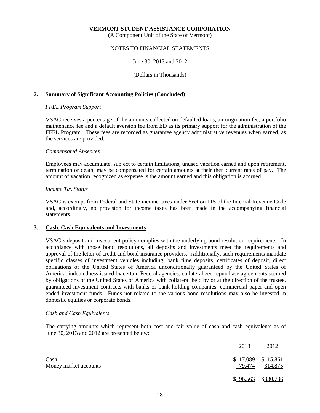(A Component Unit of the State of Vermont)

### NOTES TO FINANCIAL STATEMENTS

### June 30, 2013 and 2012

(Dollars in Thousands)

# **2. Summary of Significant Accounting Policies (Concluded)**

#### *FFEL Program Support*

VSAC receives a percentage of the amounts collected on defaulted loans, an origination fee, a portfolio maintenance fee and a default aversion fee from ED as its primary support for the administration of the FFEL Program. These fees are recorded as guarantee agency administrative revenues when earned, as the services are provided.

#### *Compensated Absences*

Employees may accumulate, subject to certain limitations, unused vacation earned and upon retirement, termination or death, may be compensated for certain amounts at their then current rates of pay. The amount of vacation recognized as expense is the amount earned and this obligation is accrued.

# *Income Tax Status*

VSAC is exempt from Federal and State income taxes under Section 115 of the Internal Revenue Code and, accordingly, no provision for income taxes has been made in the accompanying financial statements.

#### **3. Cash, Cash Equivalents and Investments**

VSAC's deposit and investment policy complies with the underlying bond resolution requirements. In accordance with those bond resolutions, all deposits and investments meet the requirements and approval of the letter of credit and bond insurance providers. Additionally, such requirements mandate specific classes of investment vehicles including: bank time deposits, certificates of deposit, direct obligations of the United States of America unconditionally guaranteed by the United States of America, indebtedness issued by certain Federal agencies, collateralized repurchase agreements secured by obligations of the United States of America with collateral held by or at the direction of the trustee, guaranteed investment contracts with banks or bank holding companies, commercial paper and open ended investment funds. Funds not related to the various bond resolutions may also be invested in domestic equities or corporate bonds.

# *Cash and Cash Equivalents*

The carrying amounts which represent both cost and fair value of cash and cash equivalents as of June 30, 2013 and 2012 are presented below:

|                               | 2013                          | 2012    |
|-------------------------------|-------------------------------|---------|
| Cash<br>Money market accounts | $$17,089$ $$15,861$<br>79,474 | 314,875 |
|                               | \$ 96,563 \$330,736           |         |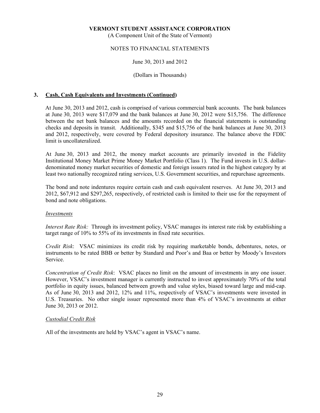(A Component Unit of the State of Vermont)

# NOTES TO FINANCIAL STATEMENTS

# June 30, 2013 and 2012

(Dollars in Thousands)

# **3. Cash, Cash Equivalents and Investments (Continued)**

At June 30, 2013 and 2012, cash is comprised of various commercial bank accounts. The bank balances at June 30, 2013 were \$17,079 and the bank balances at June 30, 2012 were \$15,756. The difference between the net bank balances and the amounts recorded on the financial statements is outstanding checks and deposits in transit. Additionally, \$345 and \$15,756 of the bank balances at June 30, 2013 and 2012, respectively, were covered by Federal depository insurance. The balance above the FDIC limit is uncollateralized.

 At June 30, 2013 and 2012, the money market accounts are primarily invested in the Fidelity Institutional Money Market Prime Money Market Portfolio (Class 1). The Fund invests in U.S. dollardenominated money market securities of domestic and foreign issuers rated in the highest category by at least two nationally recognized rating services, U.S. Government securities, and repurchase agreements.

The bond and note indentures require certain cash and cash equivalent reserves. At June 30, 2013 and 2012, \$67,912 and \$297,265, respectively, of restricted cash is limited to their use for the repayment of bond and note obligations.

#### *Investments*

*Interest Rate Risk:* Through its investment policy, VSAC manages its interest rate risk by establishing a target range of 10% to 55% of its investments in fixed rate securities.

*Credit Risk*: VSAC minimizes its credit risk by requiring marketable bonds, debentures, notes, or instruments to be rated BBB or better by Standard and Poor's and Baa or better by Moody's Investors Service.

*Concentration of Credit Risk*: VSAC places no limit on the amount of investments in any one issuer. However, VSAC's investment manager is currently instructed to invest approximately 70% of the total portfolio in equity issues, balanced between growth and value styles, biased toward large and mid-cap. As of June 30, 2013 and 2012, 12% and 11%, respectively of VSAC's investments were invested in U.S. Treasuries. No other single issuer represented more than 4% of VSAC's investments at either June 30, 2013 or 2012.

#### *Custodial Credit Risk*

All of the investments are held by VSAC's agent in VSAC's name.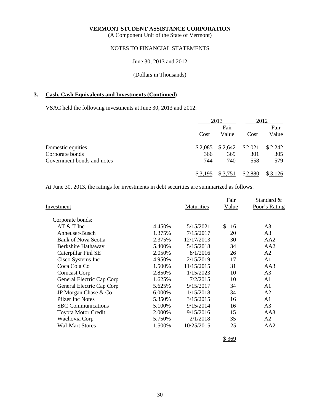(A Component Unit of the State of Vermont)

# NOTES TO FINANCIAL STATEMENTS

June 30, 2013 and 2012

(Dollars in Thousands)

# **3. Cash, Cash Equivalents and Investments (Continued)**

VSAC held the following investments at June 30, 2013 and 2012:

|                            |         | 2013    |         | 2012    |
|----------------------------|---------|---------|---------|---------|
|                            |         | Fair    |         | Fair    |
|                            | Cost    | Value   | Cost    | Value   |
| Domestic equities          | \$2,085 | \$2,642 | \$2,021 | \$2,242 |
| Corporate bonds            | 366     | 369     | 301     | 305     |
| Government bonds and notes | 744     | 740     | 558     | 579     |
|                            | \$3,195 | \$3,751 | \$2,880 | \$3,126 |

At June 30, 2013, the ratings for investments in debt securities are summarized as follows:

| Investment                 |         | Maturities | Fair<br>Value | Standard &<br>Poor's Rating |
|----------------------------|---------|------------|---------------|-----------------------------|
| Corporate bonds:           |         |            |               |                             |
| AT & T Inc                 | 4.450%  | 5/15/2021  | \$<br>16      | A <sub>3</sub>              |
| Anheuser-Busch             | 1.375%  | 7/15/2017  | 20            | A <sub>3</sub>              |
| <b>Bank of Nova Scotia</b> | 2.375%  | 12/17/2013 | 30            | AA <sub>2</sub>             |
| Berkshire Hathaway         | 5.400%  | 5/15/2018  | 34            | AA <sub>2</sub>             |
| Caterpillar Finl SE        | 2.050%  | 8/1/2016   | 26            | A <sub>2</sub>              |
| Cisco Systems Inc          | 4.950%  | 2/15/2019  | 17            | A1                          |
| Coca Cola Co               | 1.500%  | 11/15/2015 | 31            | AA3                         |
| <b>Comcast Corp</b>        | 2.850%  | 1/15/2023  | 10            | A <sub>3</sub>              |
| General Electric Cap Corp  | 1.625%  | 7/2/2015   | 10            | A1                          |
| General Electric Cap Corp  | 5.625%  | 9/15/2017  | 34            | A1                          |
| JP Morgan Chase & Co       | 6.000%  | 1/15/2018  | 34            | A <sub>2</sub>              |
| <b>Pfizer Inc Notes</b>    | 5.350\% | 3/15/2015  | 16            | A1                          |
| <b>SBC</b> Communications  | 5.100%  | 9/15/2014  | 16            | A <sub>3</sub>              |
| Toyota Motor Credit        | 2.000\% | 9/15/2016  | 15            | AA3                         |
| Wachovia Corp              | 5.750%  | 2/1/2018   | 35            | A2                          |
| <b>Wal-Mart Stores</b>     | 1.500%  | 10/25/2015 | 25            | AA <sub>2</sub>             |
|                            |         |            |               |                             |

\$ 369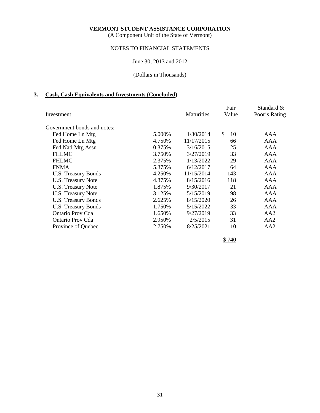(A Component Unit of the State of Vermont)

# NOTES TO FINANCIAL STATEMENTS

# June 30, 2013 and 2012

# (Dollars in Thousands)

# **3. Cash, Cash Equivalents and Investments (Concluded)**

| Investment                  |        | Maturities | Fair<br>Value | Standard &<br>Poor's Rating |
|-----------------------------|--------|------------|---------------|-----------------------------|
| Government bonds and notes: |        |            |               |                             |
| Fed Home Ln Mtg             | 5.000% | 1/30/2014  | \$<br>10      | AAA                         |
| Fed Home Ln Mtg             | 4.750% | 11/17/2015 | 66            | AAA                         |
| Fed Natl Mtg Assn           | 0.375% | 3/16/2015  | 25            | AAA                         |
| <b>FHLMC</b>                | 3.750% | 3/27/2019  | 33            | AAA                         |
| <b>FHLMC</b>                | 2.375% | 1/13/2022  | 29            | AAA                         |
| <b>FNMA</b>                 | 5.375% | 6/12/2017  | 64            | AAA                         |
| U.S. Treasury Bonds         | 4.250% | 11/15/2014 | 143           | AAA                         |
| U.S. Treasury Note          | 4.875% | 8/15/2016  | 118           | AAA                         |
| U.S. Treasury Note          | 1.875% | 9/30/2017  | 21            | AAA                         |
| U.S. Treasury Note          | 3.125% | 5/15/2019  | 98            | AAA                         |
| U.S. Treasury Bonds         | 2.625% | 8/15/2020  | 26            | AAA                         |
| U.S. Treasury Bonds         | 1.750% | 5/15/2022  | 33            | AAA                         |
| Ontario Prov Cda            | 1.650% | 9/27/2019  | 33            | AA2                         |
| Ontario Prov Cda            | 2.950% | 2/5/2015   | 31            | AA2                         |
| Province of Quebec          | 2.750% | 8/25/2021  | 10            | AA <sub>2</sub>             |
|                             |        |            |               |                             |

\$ 740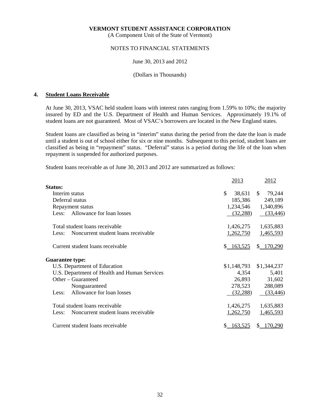(A Component Unit of the State of Vermont)

# NOTES TO FINANCIAL STATEMENTS

# June 30, 2013 and 2012

(Dollars in Thousands)

# **4. Student Loans Receivable**

At June 30, 2013, VSAC held student loans with interest rates ranging from 1.59% to 10%; the majority insured by ED and the U.S. Department of Health and Human Services. Approximately 19.1% of student loans are not guaranteed. Most of VSAC's borrowers are located in the New England states.

Student loans are classified as being in "interim" status during the period from the date the loan is made until a student is out of school either for six or nine months. Subsequent to this period, student loans are classified as being in "repayment" status. "Deferral" status is a period during the life of the loan when repayment is suspended for authorized purposes.

Student loans receivable as of June 30, 2013 and 2012 are summarized as follows:

|                                              | 2013         | 2012                   |
|----------------------------------------------|--------------|------------------------|
| <b>Status:</b>                               |              |                        |
| Interim status                               | \$<br>38,631 | 79,244<br>$\mathbb{S}$ |
| Deferral status                              | 185,386      | 249,189                |
| Repayment status                             | 1,234,546    | 1,340,896              |
| Allowance for loan losses<br>Less:           | (32, 288)    | (33, 446)              |
| Total student loans receivable               | 1,426,275    | 1,635,883              |
| Less: Noncurrent student loans receivable    | 1,262,750    | 1,465,593              |
| Current student loans receivable             | \$163,525    | \$170,290              |
| <b>Guarantee type:</b>                       |              |                        |
| U.S. Department of Education                 | \$1,148,793  | \$1,344,237            |
| U.S. Department of Health and Human Services | 4,354        | 5,401                  |
| Other - Guaranteed                           | 26,893       | 31,602                 |
| Nonguaranteed                                | 278,523      | 288,089                |
| Allowance for loan losses<br>Less:           | (32, 288)    | (33, 446)              |
| Total student loans receivable               | 1,426,275    | 1,635,883              |
| Noncurrent student loans receivable<br>Less: | 1,262,750    | 1,465,593              |
| Current student loans receivable             | \$163,525    | \$170,290              |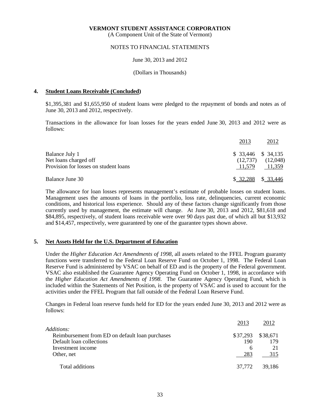(A Component Unit of the State of Vermont)

# NOTES TO FINANCIAL STATEMENTS

# June 30, 2013 and 2012

(Dollars in Thousands)

### **4. Student Loans Receivable (Concluded)**

\$1,395,381 and \$1,655,950 of student loans were pledged to the repayment of bonds and notes as of June 30, 2013 and 2012, respectively.

Transactions in the allowance for loan losses for the years ended June 30, 2013 and 2012 were as follows:

|                                       | 2013                | 2012      |
|---------------------------------------|---------------------|-----------|
| Balance July 1                        | $$33,446$ $$34,135$ |           |
| Net loans charged off                 | (12.737)            | (12,048)  |
| Provision for losses on student loans | 11,579              | 11,359    |
| <b>Balance June 30</b>                | \$32,288            | \$ 33,446 |

The allowance for loan losses represents management's estimate of probable losses on student loans. Management uses the amounts of loans in the portfolio, loss rate, delinquencies, current economic conditions, and historical loss experience. Should any of these factors change significantly from those currently used by management, the estimate will change. At June 30, 2013 and 2012, \$81,618 and \$84,895, respectively, of student loans receivable were over 90 days past due, of which all but \$13,932 and \$14,457, respectively, were guaranteed by one of the guarantee types shown above.

# **5. Net Assets Held for the U.S. Department of Education**

Under the *Higher Education Act Amendments of 1998*, all assets related to the FFEL Program guaranty functions were transferred to the Federal Loan Reserve Fund on October 1, 1998. The Federal Loan Reserve Fund is administered by VSAC on behalf of ED and is the property of the Federal government. VSAC also established the Guarantee Agency Operating Fund on October 1, 1998, in accordance with the *Higher Education Act Amendments of 1998*. The Guarantee Agency Operating Fund, which is included within the Statements of Net Position, is the property of VSAC and is used to account for the activities under the FFEL Program that fall outside of the Federal Loan Reserve Fund.

Changes in Federal loan reserve funds held for ED for the years ended June 30, 2013 and 2012 were as follows:

|                                                 | 2013         | 2012              |
|-------------------------------------------------|--------------|-------------------|
| <i>Additions:</i>                               |              |                   |
| Reimbursement from ED on default loan purchases |              | \$37,293 \$38,671 |
| Default loan collections                        | 190          | 179               |
| Investment income                               | <sub>6</sub> |                   |
| Other, net                                      | 283          | 315               |
| Total additions                                 | 37,772       | 39.186            |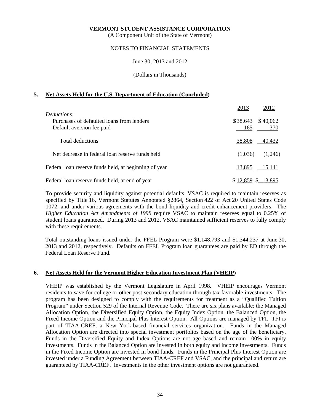(A Component Unit of the State of Vermont)

### NOTES TO FINANCIAL STATEMENTS

June 30, 2013 and 2012

(Dollars in Thousands)

# **5. Net Assets Held for the U.S. Department of Education (Concluded)**

|                                                                                              | 2013            | 2012                |
|----------------------------------------------------------------------------------------------|-----------------|---------------------|
| <i>Deductions:</i><br>Purchases of defaulted loans from lenders<br>Default aversion fee paid | \$38,643<br>165 | \$40,062<br>370     |
| Total deductions                                                                             | 38,808          | 40,432              |
| Net decrease in federal loan reserve funds held                                              | (1.036)         | (1,246)             |
| Federal loan reserve funds held, at beginning of year                                        | 13,895          | 15,141              |
| Federal loan reserve funds held, at end of year                                              |                 | $$12,859$ \$ 13,895 |

To provide security and liquidity against potential defaults, VSAC is required to maintain reserves as specified by Title 16, Vermont Statutes Annotated §2864, Section 422 of Act 20 United States Code 1072, and under various agreements with the bond liquidity and credit enhancement providers. The *Higher Education Act Amendments of 1998* require VSAC to maintain reserves equal to 0.25% of student loans guaranteed. During 2013 and 2012, VSAC maintained sufficient reserves to fully comply with these requirements.

Total outstanding loans issued under the FFEL Program were \$1,148,793 and \$1,344,237 at June 30, 2013 and 2012, respectively. Defaults on FFEL Program loan guarantees are paid by ED through the Federal Loan Reserve Fund.

# **6. Net Assets Held for the Vermont Higher Education Investment Plan (VHEIP)**

VHEIP was established by the Vermont Legislature in April 1998. VHEIP encourages Vermont residents to save for college or other post-secondary education through tax favorable investments. The program has been designed to comply with the requirements for treatment as a "Qualified Tuition Program" under Section 529 of the Internal Revenue Code. There are six plans available: the Managed Allocation Option, the Diversified Equity Option, the Equity Index Option, the Balanced Option, the Fixed Income Option and the Principal Plus Interest Option. All Options are managed by TFI. TFI is part of TIAA-CREF, a New York-based financial services organization. Funds in the Managed Allocation Option are directed into special investment portfolios based on the age of the beneficiary. Funds in the Diversified Equity and Index Options are not age based and remain 100% in equity investments. Funds in the Balanced Option are invested in both equity and income investments. Funds in the Fixed Income Option are invested in bond funds. Funds in the Principal Plus Interest Option are invested under a Funding Agreement between TIAA-CREF and VSAC, and the principal and return are guaranteed by TIAA-CREF. Investments in the other investment options are not guaranteed.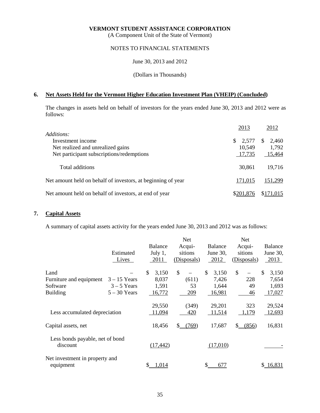(A Component Unit of the State of Vermont)

### NOTES TO FINANCIAL STATEMENTS

# June 30, 2013 and 2012

### (Dollars in Thousands)

# **6. Net Assets Held for the Vermont Higher Education Investment Plan (VHEIP) (Concluded)**

The changes in assets held on behalf of investors for the years ended June 30, 2013 and 2012 were as follows:

|                                                              | 2013        | 2012         |
|--------------------------------------------------------------|-------------|--------------|
| <i>Additions:</i>                                            |             |              |
| Investment income                                            | 2,577<br>S. | 2.460<br>\$. |
| Net realized and unrealized gains                            | 10,549      | 1,792        |
| Net participant subscriptions/redemptions                    | 17,735      | 15,464       |
| Total additions                                              | 30,861      | 19,716       |
| Net amount held on behalf of investors, at beginning of year | 171,015     | 151,299      |
| Net amount held on behalf of investors, at end of year       | \$201,876   | \$171,015    |

# **7. Capital Assets**

A summary of capital assets activity for the years ended June 30, 2013 and 2012 was as follows:

|                                             |                |                | <b>Net</b>  |                | <b>Net</b>  |                |
|---------------------------------------------|----------------|----------------|-------------|----------------|-------------|----------------|
|                                             |                | <b>Balance</b> | Acqui-      | <b>Balance</b> | Acqui-      | <b>Balance</b> |
|                                             | Estimated      | July $1,$      | sitions     | June 30,       | sitions     | June 30,       |
|                                             | Lives          | 2011           | (Disposals) | 2012           | (Disposals) | 2013           |
| Land                                        |                | \$<br>3,150    | \$          | \$<br>3,150    | \$          | \$<br>3,150    |
| Furniture and equipment                     | $3 - 15$ Years | 8,037          | (611)       | 7,426          | 228         | 7,654          |
| Software                                    | $3 - 5$ Years  | 1,591          | 53          | 1,644          | 49          | 1,693          |
| <b>Building</b>                             | $5 - 30$ Years | 16,772         | 209         | 16,981         | 46          | 17,027         |
|                                             |                | 29,550         | (349)       | 29,201         | 323         | 29,524         |
| Less accumulated depreciation               |                | 11,094         | 420         | 11,514         | 1,179       | 12,693         |
| Capital assets, net                         |                | 18,456         | (769)<br>S. | 17,687         | (856)<br>\$ | 16,831         |
| Less bonds payable, net of bond<br>discount |                | (17, 442)      |             | (17,010)       |             |                |
| Net investment in property and<br>equipment |                | 1,014          |             | \$<br>677      |             | 16,831<br>\$   |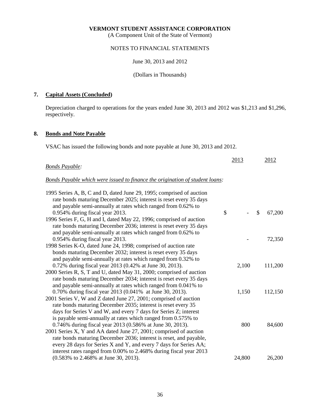(A Component Unit of the State of Vermont)

NOTES TO FINANCIAL STATEMENTS

June 30, 2013 and 2012

(Dollars in Thousands)

# **7. Capital Assets (Concluded)**

Depreciation charged to operations for the years ended June 30, 2013 and 2012 was \$1,213 and \$1,296, respectively.

# **8. Bonds and Note Payable**

VSAC has issued the following bonds and note payable at June 30, 2013 and 2012.

| <b>Bonds Payable:</b>                                                                                                                     | 2013   | 2012         |
|-------------------------------------------------------------------------------------------------------------------------------------------|--------|--------------|
| Bonds Payable which were issued to finance the origination of student loans:                                                              |        |              |
| 1995 Series A, B, C and D, dated June 29, 1995; comprised of auction                                                                      |        |              |
| rate bonds maturing December 2025; interest is reset every 35 days                                                                        |        |              |
| and payable semi-annually at rates which ranged from 0.62% to                                                                             |        |              |
| 0.954% during fiscal year 2013.                                                                                                           | \$     | \$<br>67,200 |
| 1996 Series F, G, H and I, dated May 22, 1996; comprised of auction<br>rate bonds maturing December 2036; interest is reset every 35 days |        |              |
| and payable semi-annually at rates which ranged from 0.62% to                                                                             |        |              |
| 0.954% during fiscal year 2013.                                                                                                           |        | 72,350       |
| 1998 Series K-O, dated June 24, 1998; comprised of auction rate                                                                           |        |              |
| bonds maturing December 2032; interest is reset every 35 days                                                                             |        |              |
| and payable semi-annually at rates which ranged from 0.32% to                                                                             |        |              |
| 0.72% during fiscal year 2013 (0.42% at June 30, 2013).                                                                                   | 2,100  | 111,200      |
| 2000 Series R, S, T and U, dated May 31, 2000; comprised of auction                                                                       |        |              |
| rate bonds maturing December 2034; interest is reset every 35 days                                                                        |        |              |
| and payable semi-annually at rates which ranged from 0.041% to                                                                            |        |              |
| 0.70% during fiscal year 2013 (0.041% at June 30, 2013).                                                                                  | 1,150  | 112,150      |
| 2001 Series V, W and Z dated June 27, 2001; comprised of auction                                                                          |        |              |
| rate bonds maturing December 2035; interest is reset every 35                                                                             |        |              |
| days for Series V and W, and every 7 days for Series Z; interest                                                                          |        |              |
| is payable semi-annually at rates which ranged from 0.575% to                                                                             |        |              |
| 0.746% during fiscal year 2013 (0.586% at June 30, 2013).                                                                                 | 800    | 84,600       |
| 2001 Series X, Y and AA dated June 27, 2001; comprised of auction                                                                         |        |              |
| rate bonds maturing December 2036; interest is reset, and payable,                                                                        |        |              |
| every 28 days for Series X and Y, and every 7 days for Series AA;                                                                         |        |              |
| interest rates ranged from 0.00% to 2.468% during fiscal year 2013                                                                        |        |              |
| (0.583% to 2.468% at June 30, 2013).                                                                                                      | 24,800 | 26,200       |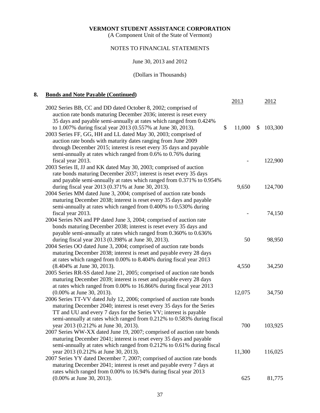(A Component Unit of the State of Vermont)

# NOTES TO FINANCIAL STATEMENTS

# June 30, 2013 and 2012

# (Dollars in Thousands)

# **8. Bonds and Note Payable (Continued)**

|                                                                                                                                                                                                                                                                                                                                                                                                                                                                                     | 2013         | 2012          |
|-------------------------------------------------------------------------------------------------------------------------------------------------------------------------------------------------------------------------------------------------------------------------------------------------------------------------------------------------------------------------------------------------------------------------------------------------------------------------------------|--------------|---------------|
| 2002 Series BB, CC and DD dated October 8, 2002; comprised of<br>auction rate bonds maturing December 2036; interest is reset every<br>35 days and payable semi-annually at rates which ranged from 0.424%<br>to 1.007% during fiscal year 2013 (0.557% at June 30, 2013).<br>2003 Series FF, GG, HH and LL dated May 30, 2003; comprised of<br>auction rate bonds with maturity dates ranging from June 2009<br>through December 2015; interest is reset every 35 days and payable | \$<br>11,000 | \$<br>103,300 |
| semi-annually at rates which ranged from 0.6% to 0.76% during<br>fiscal year 2013.<br>2003 Series II, JJ and KK dated May 30, 2003; comprised of auction                                                                                                                                                                                                                                                                                                                            |              | 122,900       |
| rate bonds maturing December 2037; interest is reset every 35 days<br>and payable semi-annually at rates which ranged from 0.371% to 0.954%<br>during fiscal year 2013 (0.371% at June 30, 2013).<br>2004 Series MM dated June 3, 2004; comprised of auction rate bonds<br>maturing December 2038; interest is reset every 35 days and payable                                                                                                                                      | 9,650        | 124,700       |
| semi-annually at rates which ranged from 0.400% to 0.530% during<br>fiscal year 2013.                                                                                                                                                                                                                                                                                                                                                                                               |              | 74,150        |
| 2004 Series NN and PP dated June 3, 2004; comprised of auction rate<br>bonds maturing December 2038; interest is reset every 35 days and<br>payable semi-annually at rates which ranged from 0.360% to 0.636%                                                                                                                                                                                                                                                                       |              |               |
| during fiscal year 2013 (0.398% at June 30, 2013).<br>2004 Series OO dated June 3, 2004; comprised of auction rate bonds<br>maturing December 2038; interest is reset and payable every 28 days<br>at rates which ranged from 0.00% to 8.404% during fiscal year 2013                                                                                                                                                                                                               | 50           | 98,950        |
| (8.404% at June 30, 2013).<br>2005 Series RR-SS dated June 21, 2005; comprised of auction rate bonds<br>maturing December 2039; interest is reset and payable every 28 days<br>at rates which ranged from 0.00% to 16.866% during fiscal year 2013                                                                                                                                                                                                                                  | 4,550        | 34,250        |
| (0.00% at June 30, 2013).<br>2006 Series TT-VV dated July 12, 2006; comprised of auction rate bonds<br>maturing December 2040; interest is reset every 35 days for the Series<br>TT and UU and every 7 days for the Series VV; interest is payable                                                                                                                                                                                                                                  | 12,075       | 34,750        |
| semi-annually at rates which ranged from 0.212% to 0.583% during fiscal<br>year 2013 (0.212% at June 30, 2013).<br>2007 Series WW-XX dated June 19, 2007; comprised of auction rate bonds<br>maturing December 2041; interest is reset every 35 days and payable                                                                                                                                                                                                                    | 700          | 103,925       |
| semi-annually at rates which ranged from 0.212% to 0.61% during fiscal<br>year 2013 (0.212% at June 30, 2013).<br>2007 Series YY dated December 7, 2007; comprised of auction rate bonds<br>maturing December 2041; interest is reset and payable every 7 days at<br>rates which ranged from 0.00% to 16.94% during fiscal year 2013                                                                                                                                                | 11,300       | 116,025       |
| (0.00% at June 30, 2013).                                                                                                                                                                                                                                                                                                                                                                                                                                                           | 625          | 81,775        |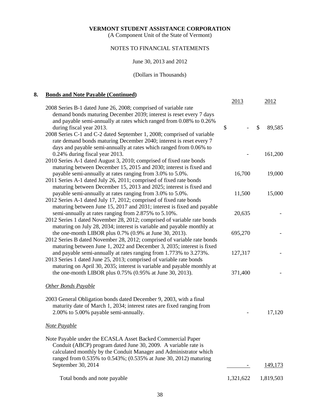(A Component Unit of the State of Vermont)

# NOTES TO FINANCIAL STATEMENTS

# June 30, 2013 and 2012

(Dollars in Thousands)

# **8. Bonds and Note Payable (Continued)**

|                                                                                                                                                                                                                                                                        | 2013      | 2012         |
|------------------------------------------------------------------------------------------------------------------------------------------------------------------------------------------------------------------------------------------------------------------------|-----------|--------------|
| 2008 Series B-1 dated June 26, 2008; comprised of variable rate<br>demand bonds maturing December 2039; interest is reset every 7 days<br>and payable semi-annually at rates which ranged from 0.08% to 0.26%<br>during fiscal year 2013.                              | \$        | \$<br>89,585 |
| 2008 Series C-1 and C-2 dated September 1, 2008; comprised of variable<br>rate demand bonds maturing December 2040; interest is reset every 7<br>days and payable semi-annually at rates which ranged from 0.06% to                                                    |           |              |
| 0.24% during fiscal year 2013.<br>2010 Series A-1 dated August 3, 2010; comprised of fixed rate bonds<br>maturing between December 15, 2015 and 2030; interest is fixed and                                                                                            |           | 161,200      |
| payable semi-annually at rates ranging from 3.0% to 5.0%.<br>2011 Series A-1 dated July 26, 2011; comprised of fixed rate bonds<br>maturing between December 15, 2013 and 2025; interest is fixed and                                                                  | 16,700    | 19,000       |
| payable semi-annually at rates ranging from 3.0% to 5.0%.<br>2012 Series A-1 dated July 17, 2012; comprised of fixed rate bonds                                                                                                                                        | 11,500    | 15,000       |
| maturing between June 15, 2017 and 2031; interest is fixed and payable<br>semi-annually at rates ranging from 2.875% to 5.10%.<br>2012 Series 1 dated November 28, 2012; comprised of variable rate bonds                                                              | 20,635    |              |
| maturing on July 28, 2034; interest is variable and payable monthly at<br>the one-month LIBOR plus 0.7% (0.9% at June 30, 2013).<br>2012 Series B dated November 28, 2012; comprised of variable rate bonds                                                            | 695,270   |              |
| maturing between June 1, 2022 and December 3, 2035; interest is fixed<br>and payable semi-annually at rates ranging from 1.773% to 3.273%.<br>2013 Series 1 dated June 25, 2013; comprised of variable rate bonds                                                      | 127,317   |              |
| maturing on April 30, 2035; interest is variable and payable monthly at<br>the one-month LIBOR plus 0.75% (0.95% at June 30, 2013).                                                                                                                                    | 371,400   |              |
| <b>Other Bonds Payable</b>                                                                                                                                                                                                                                             |           |              |
| 2003 General Obligation bonds dated December 9, 2003, with a final<br>maturity date of March 1, 2034; interest rates are fixed ranging from<br>2.00% to 5.00% payable semi-annually.                                                                                   |           | 17,120       |
| Note Payable                                                                                                                                                                                                                                                           |           |              |
| Note Payable under the ECASLA Asset Backed Commercial Paper<br>Conduit (ABCP) program dated June 30, 2009. A variable rate is<br>calculated monthly by the Conduit Manager and Administrator which<br>ranged from 0.535% to 0.543%; (0.535% at June 30, 2012) maturing |           |              |
| September 30, 2014                                                                                                                                                                                                                                                     |           | 149,173      |
| Total bonds and note payable                                                                                                                                                                                                                                           | 1,321,622 | 1,819,503    |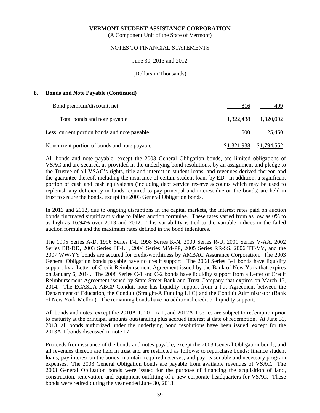(A Component Unit of the State of Vermont)

### NOTES TO FINANCIAL STATEMENTS

### June 30, 2013 and 2012

### (Dollars in Thousands)

### **8. Bonds and Note Payable (Continued)**

| Bond premium/discount, net                   | 816         | 499         |
|----------------------------------------------|-------------|-------------|
| Total bonds and note payable                 | 1,322,438   | 1,820,002   |
| Less: current portion bonds and note payable | 500         | 25.450      |
| Noncurrent portion of bonds and note payable | \$1,321,938 | \$1,794,552 |

All bonds and note payable, except the 2003 General Obligation bonds, are limited obligations of VSAC and are secured, as provided in the underlying bond resolutions, by an assignment and pledge to the Trustee of all VSAC's rights, title and interest in student loans, and revenues derived thereon and the guarantee thereof, including the insurance of certain student loans by ED. In addition, a significant portion of cash and cash equivalents (including debt service reserve accounts which may be used to replenish any deficiency in funds required to pay principal and interest due on the bonds) are held in trust to secure the bonds, except the 2003 General Obligation bonds.

In 2013 and 2012, due to ongoing disruptions in the capital markets, the interest rates paid on auction bonds fluctuated significantly due to failed auction formulae. These rates varied from as low as 0% to as high as 16.94% over 2013 and 2012. This variability is tied to the variable indices in the failed auction formula and the maximum rates defined in the bond indentures.

The 1995 Series A-D, 1996 Series F-I, 1998 Series K-N, 2000 Series R-U, 2001 Series V-AA, 2002 Series BB-DD, 2003 Series FF-LL, 2004 Series MM-PP, 2005 Series RR-SS, 2006 TT-VV, and the 2007 WW-YY bonds are secured for credit-worthiness by AMBAC Assurance Corporation. The 2003 General Obligation bonds payable have no credit support. The 2008 Series B-1 bonds have liquidity support by a Letter of Credit Reimbursement Agreement issued by the Bank of New York that expires on January 6, 2014. The 2008 Series C-1 and C-2 bonds have liquidity support from a Letter of Credit Reimbursement Agreement issued by State Street Bank and Trust Company that expires on March 15, 2014. The ECASLA ABCP Conduit note has liquidity support from a Put Agreement between the Department of Education, the Conduit (Straight-A Funding LLC) and the Conduit Administrator (Bank of New York-Mellon). The remaining bonds have no additional credit or liquidity support.

All bonds and notes, except the 2010A-1, 2011A-1, and 2012A-1 series are subject to redemption prior to maturity at the principal amounts outstanding plus accrued interest at date of redemption. At June 30, 2013, all bonds authorized under the underlying bond resolutions have been issued, except for the 2013A-1 bonds discussed in note 17.

Proceeds from issuance of the bonds and notes payable, except the 2003 General Obligation bonds, and all revenues thereon are held in trust and are restricted as follows: to repurchase bonds; finance student loans; pay interest on the bonds; maintain required reserves; and pay reasonable and necessary program expenses. The 2003 General Obligation bonds are payable from available revenues of VSAC. The 2003 General Obligation bonds were issued for the purpose of financing the acquisition of land, construction, renovation, and equipment outfitting of a new corporate headquarters for VSAC. These bonds were retired during the year ended June 30, 2013.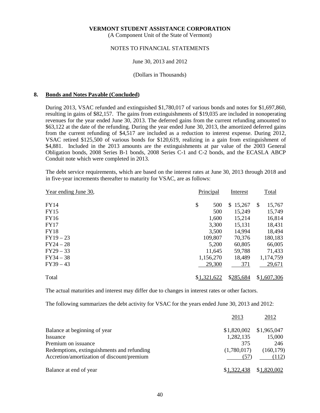(A Component Unit of the State of Vermont)

# NOTES TO FINANCIAL STATEMENTS

# June 30, 2013 and 2012

### (Dollars in Thousands)

# **8. Bonds and Notes Payable (Concluded)**

During 2013, VSAC refunded and extinguished \$1,780,017 of various bonds and notes for \$1,697,860, resulting in gains of \$82,157. The gains from extinguishments of \$19,035 are included in nonoperating revenues for the year ended June 30, 2013. The deferred gains from the current refunding amounted to \$63,122 at the date of the refunding. During the year ended June 30, 2013, the amortized deferred gains from the current refunding of \$4,517 are included as a reduction to interest expense. During 2012, VSAC retired \$125,500 of various bonds for \$120,619, realizing in a gain from extinguishment of \$4,881. Included in the 2013 amounts are the extinguishments at par value of the 2003 General Obligation bonds, 2008 Series B-1 bonds, 2008 Series C-1 and C-2 bonds, and the ECASLA ABCP Conduit note which were completed in 2013.

The debt service requirements, which are based on the interest rates at June 30, 2013 through 2018 and in five-year increments thereafter to maturity for VSAC, are as follows:

| Year ending June 30, | Principal   | Total<br>Interest |              |
|----------------------|-------------|-------------------|--------------|
| <b>FY14</b>          | \$<br>500   | \$15,267          | \$<br>15,767 |
| <b>FY15</b>          | 500         | 15,249            | 15,749       |
| FY16                 | 1,600       | 15,214            | 16,814       |
| <b>FY17</b>          | 3,300       | 15,131            | 18,431       |
| <b>FY18</b>          | 3,500       | 14,994            | 18,494       |
| $FY19-23$            | 109,807     | 70,376            | 180,183      |
| $FY24-28$            | 5,200       | 60,805            | 66,005       |
| $FY29 - 33$          | 11,645      | 59,788            | 71,433       |
| $FY34 - 38$          | 1,156,270   | 18,489            | 1,174,759    |
| $FY39 - 43$          | 29,300      | 371               | 29,671       |
| Total                | \$1,321,622 | \$285,684         | \$1,607,306  |

The actual maturities and interest may differ due to changes in interest rates or other factors.

The following summarizes the debt activity for VSAC for the years ended June 30, 2013 and 2012:

|                                            | 2013        | 2012        |
|--------------------------------------------|-------------|-------------|
| Balance at beginning of year               | \$1,820,002 | \$1,965,047 |
| Issuance                                   | 1,282,135   | 15,000      |
| Premium on issuance                        | 375         | 246         |
| Redemptions, extinguishments and refunding | (1,780,017) | (160, 179)  |
| Accretion/amortization of discount/premium | (57         | (112)       |
| Balance at end of year                     | \$1,322,438 | \$1,820,002 |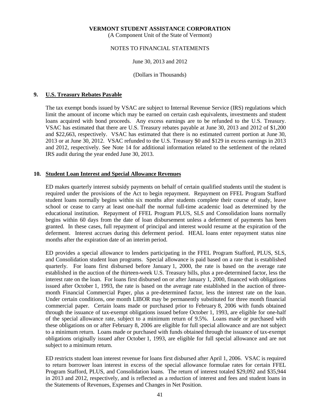(A Component Unit of the State of Vermont)

# NOTES TO FINANCIAL STATEMENTS

### June 30, 2013 and 2012

(Dollars in Thousands)

# **9. U.S. Treasury Rebates Payable**

The tax exempt bonds issued by VSAC are subject to Internal Revenue Service (IRS) regulations which limit the amount of income which may be earned on certain cash equivalents, investments and student loans acquired with bond proceeds. Any excess earnings are to be refunded to the U.S. Treasury. VSAC has estimated that there are U.S. Treasury rebates payable at June 30, 2013 and 2012 of \$1,200 and \$22,663, respectively. VSAC has estimated that there is no estimated current portion at June 30, 2013 or at June 30, 2012. VSAC refunded to the U.S. Treasury \$0 and \$129 in excess earnings in 2013 and 2012, respectively. See Note 14 for additional information related to the settlement of the related IRS audit during the year ended June 30, 2013.

# **10. Student Loan Interest and Special Allowance Revenues**

ED makes quarterly interest subsidy payments on behalf of certain qualified students until the student is required under the provisions of the Act to begin repayment. Repayment on FFEL Program Stafford student loans normally begins within six months after students complete their course of study, leave school or cease to carry at least one-half the normal full-time academic load as determined by the educational institution. Repayment of FFEL Program PLUS, SLS and Consolidation loans normally begins within 60 days from the date of loan disbursement unless a deferment of payments has been granted. In these cases, full repayment of principal and interest would resume at the expiration of the deferment. Interest accrues during this deferment period. HEAL loans enter repayment status nine months after the expiration date of an interim period.

ED provides a special allowance to lenders participating in the FFEL Program Stafford, PLUS, SLS, and Consolidation student loan programs. Special allowance is paid based on a rate that is established quarterly. For loans first disbursed before January 1, 2000, the rate is based on the average rate established in the auction of the thirteen-week U.S. Treasury bills, plus a pre-determined factor, less the interest rate on the loan. For loans first disbursed on or after January 1, 2000, financed with obligations issued after October 1, 1993, the rate is based on the average rate established in the auction of threemonth Financial Commercial Paper, plus a pre-determined factor, less the interest rate on the loan. Under certain conditions, one month LIBOR may be permanently substituted for three month financial commercial paper. Certain loans made or purchased prior to February 8, 2006 with funds obtained through the issuance of tax-exempt obligations issued before October 1, 1993, are eligible for one-half of the special allowance rate, subject to a minimum return of 9.5%. Loans made or purchased with these obligations on or after February 8, 2006 are eligible for full special allowance and are not subject to a minimum return. Loans made or purchased with funds obtained through the issuance of tax-exempt obligations originally issued after October 1, 1993, are eligible for full special allowance and are not subject to a minimum return.

ED restricts student loan interest revenue for loans first disbursed after April 1, 2006. VSAC is required to return borrower loan interest in excess of the special allowance formulae rates for certain FFEL Program Stafford, PLUS, and Consolidation loans. The return of interest totaled \$29,092 and \$35,944 in 2013 and 2012, respectively, and is reflected as a reduction of interest and fees and student loans in the Statements of Revenues, Expenses and Changes in Net Position.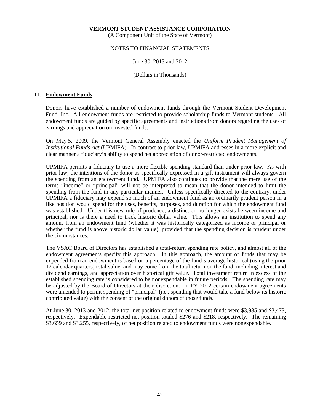(A Component Unit of the State of Vermont)

### NOTES TO FINANCIAL STATEMENTS

# June 30, 2013 and 2012

(Dollars in Thousands)

# **11. Endowment Funds**

Donors have established a number of endowment funds through the Vermont Student Development Fund, Inc. All endowment funds are restricted to provide scholarship funds to Vermont students. All endowment funds are guided by specific agreements and instructions from donors regarding the uses of earnings and appreciation on invested funds.

On May 5, 2009, the Vermont General Assembly enacted the *Uniform Prudent Management of Institutional Funds Act* (UPMIFA). In contrast to prior law, UPMIFA addresses in a more explicit and clear manner a fiduciary's ability to spend net appreciation of donor-restricted endowments.

UPMIFA permits a fiduciary to use a more flexible spending standard than under prior law. As with prior law, the intentions of the donor as specifically expressed in a gift instrument will always govern the spending from an endowment fund. UPMIFA also continues to provide that the mere use of the terms "income" or "principal" will not be interpreted to mean that the donor intended to limit the spending from the fund in any particular manner. Unless specifically directed to the contrary, under UPMIFA a fiduciary may expend so much of an endowment fund as an ordinarily prudent person in a like position would spend for the uses, benefits, purposes, and duration for which the endowment fund was established. Under this new rule of prudence, a distinction no longer exists between income and principal, nor is there a need to track historic dollar value. This allows an institution to spend any amount from an endowment fund (whether it was historically categorized as income or principal or whether the fund is above historic dollar value), provided that the spending decision is prudent under the circumstances.

The VSAC Board of Directors has established a total-return spending rate policy, and almost all of the endowment agreements specify this approach. In this approach, the amount of funds that may be expended from an endowment is based on a percentage of the fund's average historical (using the prior 12 calendar quarters) total value, and may come from the total return on the fund, including interest and dividend earnings, and appreciation over historical gift value. Total investment return in excess of the established spending rate is considered to be nonexpendable in future periods. The spending rate may be adjusted by the Board of Directors at their discretion. In FY 2012 certain endowment agreements were amended to permit spending of "principal" (i.e., spending that would take a fund below its historic contributed value) with the consent of the original donors of those funds.

At June 30, 2013 and 2012, the total net position related to endowment funds were \$3,935 and \$3,473, respectively. Expendable restricted net position totaled \$276 and \$218, respectively. The remaining \$3,659 and \$3,255, respectively, of net position related to endowment funds were nonexpendable.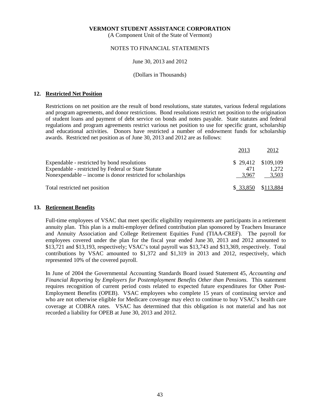(A Component Unit of the State of Vermont)

# NOTES TO FINANCIAL STATEMENTS

#### June 30, 2013 and 2012

#### (Dollars in Thousands)

#### **12. Restricted Net Position**

Restrictions on net position are the result of bond resolutions, state statutes, various federal regulations and program agreements, and donor restrictions. Bond resolutions restrict net position to the origination of student loans and payment of debt service on bonds and notes payable. State statutes and federal regulations and program agreements restrict various net position to use for specific grant, scholarship and educational activities. Donors have restricted a number of endowment funds for scholarship awards. Restricted net position as of June 30, 2013 and 2012 are as follows:

|                                                                                                                                                                          | 2013                                 | 2012           |
|--------------------------------------------------------------------------------------------------------------------------------------------------------------------------|--------------------------------------|----------------|
| Expendable - restricted by bond resolutions<br><b>Expendable - restricted by Federal or State Statute</b><br>Nonexpendable – income is donor restricted for scholarships | $$29,412$ $$109,109$<br>471<br>3,967 | 1,272<br>3,503 |
| Total restricted net position                                                                                                                                            | $$33,850$ $$113,884$                 |                |

#### **13. Retirement Benefits**

Full-time employees of VSAC that meet specific eligibility requirements are participants in a retirement annuity plan. This plan is a multi-employer defined contribution plan sponsored by Teachers Insurance and Annuity Association and College Retirement Equities Fund (TIAA-CREF). The payroll for employees covered under the plan for the fiscal year ended June 30, 2013 and 2012 amounted to \$13,721 and \$13,193, respectively; VSAC's total payroll was \$13,743 and \$13,369, respectively. Total contributions by VSAC amounted to \$1,372 and \$1,319 in 2013 and 2012, respectively, which represented 10% of the covered payroll.

In June of 2004 the Governmental Accounting Standards Board issued Statement 45, *Accounting and Financial Reporting by Employers for Postemployment Benefits Other than Pensions*. This statement requires recognition of current period costs related to expected future expenditures for Other Post-Employment Benefits (OPEB). VSAC employees who complete 15 years of continuing service and who are not otherwise eligible for Medicare coverage may elect to continue to buy VSAC's health care coverage at COBRA rates. VSAC has determined that this obligation is not material and has not recorded a liability for OPEB at June 30, 2013 and 2012.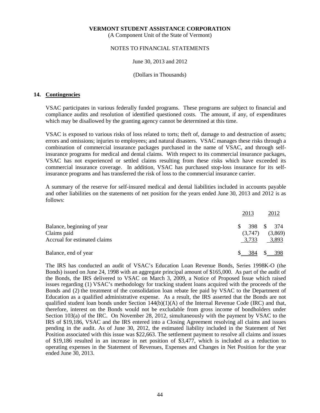(A Component Unit of the State of Vermont)

# NOTES TO FINANCIAL STATEMENTS

#### June 30, 2013 and 2012

#### (Dollars in Thousands)

# **14. Contingencies**

VSAC participates in various federally funded programs. These programs are subject to financial and compliance audits and resolution of identified questioned costs. The amount, if any, of expenditures which may be disallowed by the granting agency cannot be determined at this time.

VSAC is exposed to various risks of loss related to torts; theft of, damage to and destruction of assets; errors and omissions; injuries to employees; and natural disasters. VSAC manages these risks through a combination of commercial insurance packages purchased in the name of VSAC, and through selfinsurance programs for medical and dental claims. With respect to its commercial insurance packages, VSAC has not experienced or settled claims resulting from these risks which have exceeded its commercial insurance coverage. In addition, VSAC has purchased stop-loss insurance for its selfinsurance programs and has transferred the risk of loss to the commercial insurance carrier.

A summary of the reserve for self-insured medical and dental liabilities included in accounts payable and other liabilities on the statements of net position for the years ended June 30, 2013 and 2012 is as follows:

|                              | 2013         | 2012       |
|------------------------------|--------------|------------|
| Balance, beginning of year   | <sup>S</sup> | 398 \$ 374 |
| Claims paid                  | (3,747)      | (3,869)    |
| Accrual for estimated claims | 3,733        | 3,893      |
| Balance, end of year         | 384          | 398        |

The IRS has conducted an audit of VSAC's Education Loan Revenue Bonds, Series 1998K-O (the Bonds) issued on June 24, 1998 with an aggregate principal amount of \$165,000. As part of the audit of the Bonds, the IRS delivered to VSAC on March 3, 2009, a Notice of Proposed Issue which raised issues regarding (1) VSAC's methodology for tracking student loans acquired with the proceeds of the Bonds and (2) the treatment of the consolidation loan rebate fee paid by VSAC to the Department of Education as a qualified administrative expense. As a result, the IRS asserted that the Bonds are not qualified student loan bonds under Section 144(b)(1)(A) of the Internal Revenue Code (IRC) and that, therefore, interest on the Bonds would not be excludable from gross income of bondholders under Section 103(a) of the IRC. On November 28, 2012, simultaneously with the payment by VSAC to the IRS of \$19,186, VSAC and the IRS entered into a Closing Agreement resolving all claims and issues pending in the audit. As of June 30, 2012, the estimated liability included in the Statement of Net Position associated with this issue was \$22,663. The settlement payment to resolve all claims and issues of \$19,186 resulted in an increase in net position of \$3,477, which is included as a reduction to operating expenses in the Statement of Revenues, Expenses and Changes in Net Position for the year ended June 30, 2013.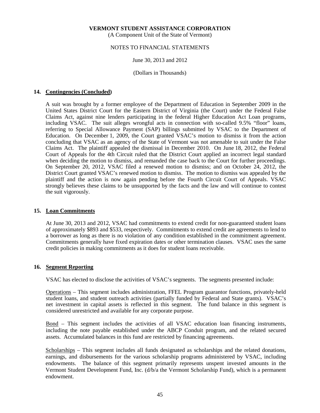(A Component Unit of the State of Vermont)

#### NOTES TO FINANCIAL STATEMENTS

# June 30, 2013 and 2012

(Dollars in Thousands)

# **14. Contingencies (Concluded)**

A suit was brought by a former employee of the Department of Education in September 2009 in the United States District Court for the Eastern District of Virginia (the Court) under the Federal False Claims Act, against nine lenders participating in the federal Higher Education Act Loan programs, including VSAC. The suit alleges wrongful acts in connection with so-called 9.5% "floor" loans, referring to Special Allowance Payment (SAP) billings submitted by VSAC to the Department of Education. On December 1, 2009, the Court granted VSAC's motion to dismiss it from the action concluding that VSAC as an agency of the State of Vermont was not amenable to suit under the False Claims Act. The plaintiff appealed the dismissal in December 2010. On June 18, 2012, the Federal Court of Appeals for the 4th Circuit ruled that the District Court applied an incorrect legal standard when deciding the motion to dismiss, and remanded the case back to the Court for further proceedings. On September 20, 2012, VSAC filed a renewed motion to dismiss; and on October 24, 2012, the District Court granted VSAC's renewed motion to dismiss. The motion to dismiss was appealed by the plaintiff and the action is now again pending before the Fourth Circuit Court of Appeals. VSAC strongly believes these claims to be unsupported by the facts and the law and will continue to contest the suit vigorously.

#### **15. Loan Commitments**

At June 30, 2013 and 2012, VSAC had commitments to extend credit for non-guaranteed student loans of approximately \$893 and \$533, respectively. Commitments to extend credit are agreements to lend to a borrower as long as there is no violation of any condition established in the commitment agreement. Commitments generally have fixed expiration dates or other termination clauses. VSAC uses the same credit policies in making commitments as it does for student loans receivable.

#### **16. Segment Reporting**

VSAC has elected to disclose the activities of VSAC's segments. The segments presented include:

Operations – This segment includes administration, FFEL Program guarantor functions, privately-held student loans, and student outreach activities (partially funded by Federal and State grants). VSAC's net investment in capital assets is reflected in this segment. The fund balance in this segment is considered unrestricted and available for any corporate purpose.

Bond – This segment includes the activities of all VSAC education loan financing instruments, including the note payable established under the ABCP Conduit program, and the related secured assets. Accumulated balances in this fund are restricted by financing agreements.

Scholarships – This segment includes all funds designated as scholarships and the related donations, earnings, and disbursements for the various scholarship programs administered by VSAC, including endowments. The balance of this segment primarily represents unspent invested amounts in the Vermont Student Development Fund, Inc. (d/b/a the Vermont Scholarship Fund), which is a permanent endowment.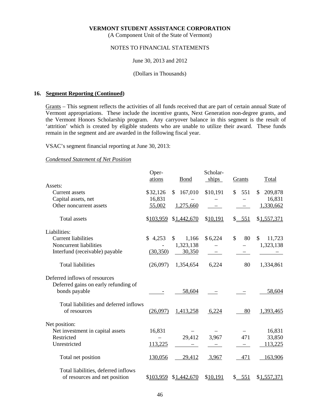(A Component Unit of the State of Vermont)

# NOTES TO FINANCIAL STATEMENTS

### June 30, 2013 and 2012

#### (Dollars in Thousands)

# **16. Segment Reporting (Continued)**

Grants – This segment reflects the activities of all funds received that are part of certain annual State of Vermont appropriations. These include the incentive grants, Next Generation non-degree grants, and the Vermont Honors Scholarship program. Any carryover balance in this segment is the result of 'attrition' which is created by eligible students who are unable to utilize their award. These funds remain in the segment and are awarded in the following fiscal year.

VSAC's segment financial reporting at June 30, 2013:

#### *Condensed Statement of Net Position*

|                                        | Oper-                 |               | Scholar- |           |               |
|----------------------------------------|-----------------------|---------------|----------|-----------|---------------|
|                                        | ations                | Bond          | ships    | Grants    | Total         |
| Assets:                                |                       |               |          |           |               |
| Current assets                         | \$32,126              | 167,010<br>\$ | \$10,191 | \$<br>551 | \$<br>209,878 |
| Capital assets, net                    | 16,831                |               |          |           | 16,831        |
| Other noncurrent assets                | 55,002                | 1,275,660     |          |           | 1,330,662     |
| <b>Total assets</b>                    | \$103,959             | \$1,442,670   | \$10,191 | \$ 551    | \$1,557,371   |
| Liabilities:                           |                       |               |          |           |               |
| <b>Current liabilities</b>             | $\mathbb{S}$<br>4,253 | \$<br>1,166   | \$6,224  | \$<br>80  | 11,723<br>\$  |
| Noncurrent liabilities                 |                       | 1,323,138     |          |           | 1,323,138     |
| Interfund (receivable) payable         | (30, 350)             | 30,350        |          |           |               |
|                                        |                       |               |          |           |               |
| <b>Total liabilities</b>               | (26,097)              | 1,354,654     | 6,224    | 80        | 1,334,861     |
| Deferred inflows of resources          |                       |               |          |           |               |
| Deferred gains on early refunding of   |                       |               |          |           |               |
| bonds payable                          |                       | 58,604        |          |           | 58,604        |
| Total liabilities and deferred inflows |                       |               |          |           |               |
| of resources                           | (26,097)              | 1,413,258     | 6,224    | 80        | 1,393,465     |
|                                        |                       |               |          |           |               |
| Net position:                          |                       |               |          |           |               |
| Net investment in capital assets       | 16,831                |               |          |           | 16,831        |
| Restricted                             |                       | 29,412        | 3,967    | 471       | 33,850        |
| Unrestricted                           | 113,225               |               |          |           | 113,225       |
| Total net position                     | 130,056               | 29,412        | 3,967    | 471       | 163,906       |
|                                        |                       |               |          |           |               |
| Total liabilities, deferred inflows    |                       |               |          |           |               |
| of resources and net position          | \$103,959             | \$1,442,670   | \$10,191 | \$ 551    | \$1,557,371   |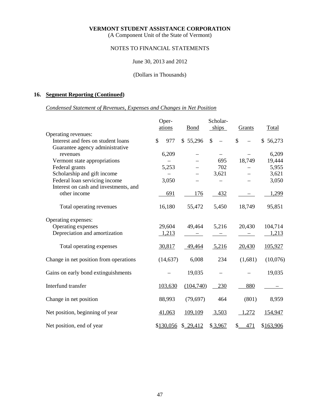(A Component Unit of the State of Vermont)

# NOTES TO FINANCIAL STATEMENTS

# June 30, 2013 and 2012

# (Dollars in Thousands)

# **16. Segment Reporting (Continued)**

# *Condensed Statement of Revenues, Expenses and Changes in Net Position*

|                                        | Oper-                 |           | Scholar-          |    |         |           |          |
|----------------------------------------|-----------------------|-----------|-------------------|----|---------|-----------|----------|
|                                        | ations<br><b>Bond</b> |           | ships             |    | Grants  | Total     |          |
| Operating revenues:                    |                       |           |                   |    |         |           |          |
| Interest and fees on student loans     | \$<br>977             | \$55,296  | $\mathcal{S}$     | \$ |         | \$56,273  |          |
| Guarantee agency administrative        |                       |           |                   |    |         |           |          |
| revenues                               | 6,209                 |           | $\qquad \qquad -$ |    |         |           | 6,209    |
| Vermont state appropriations           |                       |           | 695               |    | 18,749  |           | 19,444   |
| Federal grants                         | 5,253                 |           | 702               |    |         |           | 5,955    |
| Scholarship and gift income            |                       |           | 3,621             |    |         |           | 3,621    |
| Federal loan servicing income          | 3,050                 |           |                   |    |         |           | 3,050    |
| Interest on cash and investments, and  |                       |           |                   |    |         |           |          |
| other income                           | 691                   | 176       | 432               |    |         |           | 1,299    |
| Total operating revenues               | 16,180                | 55,472    | 5,450             |    | 18,749  |           | 95,851   |
| Operating expenses:                    |                       |           |                   |    |         |           |          |
| Operating expenses                     | 29,604                | 49,464    | 5,216             |    | 20,430  | 104,714   |          |
| Depreciation and amortization          | 1,213                 |           |                   |    |         |           | 1,213    |
| Total operating expenses               | 30,817                | 49,464    | 5,216             |    | 20,430  | 105,927   |          |
| Change in net position from operations | (14, 637)             | 6,008     | 234               |    | (1,681) |           | (10,076) |
| Gains on early bond extinguishments    |                       | 19,035    |                   |    |         |           | 19,035   |
| Interfund transfer                     | 103,630               | (104,740) | 230               |    | 880     |           |          |
| Change in net position                 | 88,993                | (79, 697) | 464               |    | (801)   |           | 8,959    |
| Net position, beginning of year        | 41,063                | 109,109   | 3,503             |    | 1,272   | 154,947   |          |
| Net position, end of year              | \$130,056             | \$29,412  | \$3,967           | \$ | 471     | \$163,906 |          |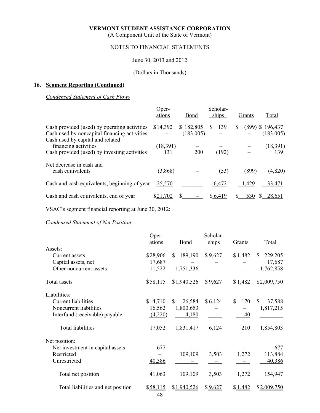(A Component Unit of the State of Vermont)

# NOTES TO FINANCIAL STATEMENTS

# June 30, 2013 and 2012

# (Dollars in Thousands)

# **16. Segment Reporting (Continued)**

# *Condensed Statement of Cash Flows*

|                                                                                                                                  | Oper-<br>ations | Bond                   | Scholar-<br>ships | Grants    | Total                           |
|----------------------------------------------------------------------------------------------------------------------------------|-----------------|------------------------|-------------------|-----------|---------------------------------|
| Cash provided (used) by operating activities<br>Cash used by noncapital financing activities<br>Cash used by capital and related | \$14,392        | \$182,805<br>(183,005) | 139<br>\$.        | S.        | $(899)$ \$ 196,437<br>(183,005) |
| financing activities                                                                                                             | (18,391)        |                        |                   |           | (18, 391)                       |
| Cash provided (used) by investing activities                                                                                     | 131             | 200                    | (192)             |           | 139                             |
| Net decrease in cash and<br>cash equivalents                                                                                     | (3,868)         |                        | (53)              | (899)     | (4, 820)                        |
| Cash and cash equivalents, beginning of year                                                                                     | 25,570          |                        | 6,472             | 1,429     | 33,471                          |
| Cash and cash equivalents, end of year                                                                                           | \$21,702        |                        | \$6,419           | 530<br>S. | 28,651                          |

VSAC's segment financial reporting at June 30, 2012:

*Condensed Statement of Net Position* 

|                                    | Oper-<br>ations | Bond                    | Scholar-<br>ships | Grants    | Total                   |
|------------------------------------|-----------------|-------------------------|-------------------|-----------|-------------------------|
| Assets:                            |                 |                         |                   |           |                         |
| Current assets                     | \$28,906        | 189,190<br>\$           | \$9,627           | \$1,482   | 229,205<br>$\mathbb{S}$ |
| Capital assets, net                | 17,687          |                         |                   |           | 17,687                  |
| Other noncurrent assets            | 11,522          | 1,751,336               |                   |           | 1,762,858               |
| Total assets                       | \$58,115        | \$1,940,526             | \$9,627           | \$1,482   | \$2,009,750             |
| Liabilities:                       |                 |                         |                   |           |                         |
| <b>Current liabilities</b>         | \$4,710         | <sup>\$</sup><br>26,584 | \$6,124           | 170<br>\$ | 37,588<br>S.            |
| Noncurrent liabilities             | 16,562          | 1,800,653               |                   |           | 1,817,215               |
| Interfund (receivable) payable     | (4,220)         | 4,180                   |                   | 40        |                         |
| <b>Total liabilities</b>           | 17,052          | 1,831,417               | 6,124             | 210       | 1,854,803               |
| Net position:                      |                 |                         |                   |           |                         |
| Net investment in capital assets   | 677             |                         |                   |           | 677                     |
| Restricted                         |                 | 109,109                 | 3,503             | 1,272     | 113,884                 |
| Unrestricted                       | 40,386          |                         |                   |           | 40,386                  |
| Total net position                 | 41,063          | 109,109                 | 3,503             | 1,272     | 154,947                 |
| Total liabilities and net position | \$58,115        | \$1,940,526             | \$9,627           | \$1,482   | \$2,009,750             |
|                                    | 48              |                         |                   |           |                         |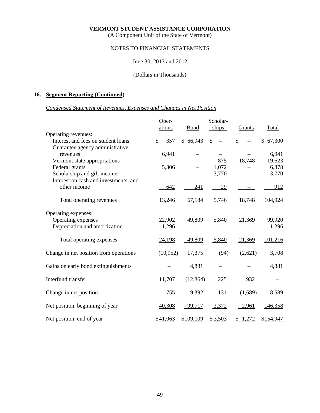(A Component Unit of the State of Vermont)

# NOTES TO FINANCIAL STATEMENTS

# June 30, 2013 and 2012

# (Dollars in Thousands)

# **16. Segment Reporting (Continued)**

# *Condensed Statement of Revenues, Expenses and Changes in Net Position*

|                                        | Oper-     |                |                      | Scholar-      |                          |    |         |              |           |
|----------------------------------------|-----------|----------------|----------------------|---------------|--------------------------|----|---------|--------------|-----------|
|                                        | ations    |                | ships<br><b>Bond</b> |               | Grants                   |    | Total   |              |           |
| Operating revenues:                    |           |                |                      |               |                          |    |         |              |           |
| Interest and fees on student loans     | \$<br>357 | $\mathbb{S}^-$ | 66,943               | $\mathcal{S}$ |                          | \$ |         | $\mathbb{S}$ | 67,300    |
| Guarantee agency administrative        |           |                |                      |               |                          |    |         |              |           |
| revenues                               | 6,941     |                |                      |               | $\overline{\phantom{m}}$ |    |         |              | 6,941     |
| Vermont state appropriations           |           |                |                      |               | 875                      |    | 18,748  |              | 19,623    |
| Federal grants                         | 5,306     |                |                      |               | 1,072                    |    |         |              | 6,378     |
| Scholarship and gift income            |           |                |                      |               | 3,770                    |    |         |              | 3,770     |
| Interest on cash and investments, and  |           |                |                      |               |                          |    |         |              |           |
| other income                           | 642       |                | 241                  |               | 29                       |    |         |              | 912       |
| Total operating revenues               | 13,246    |                | 67,184               |               | 5,746                    |    | 18,748  |              | 104,924   |
| Operating expenses:                    |           |                |                      |               |                          |    |         |              |           |
| Operating expenses                     | 22,902    |                | 49,809               |               | 5,840                    |    | 21,369  |              | 99,920    |
| Depreciation and amortization          | 1,296     |                |                      |               |                          |    |         |              | 1,296     |
| Total operating expenses               | 24,198    |                | 49,809               |               | 5,840                    |    | 21,369  |              | 101,216   |
| Change in net position from operations | (10,952)  |                | 17,375               |               | (94)                     |    | (2,621) |              | 3,708     |
| Gains on early bond extinguishments    |           |                | 4,881                |               |                          |    |         |              | 4,881     |
| Interfund transfer                     | 11,707    |                | (12, 864)            |               | 225                      |    | 932     |              |           |
| Change in net position                 | 755       |                | 9,392                |               | 131                      |    | (1,689) |              | 8,589     |
| Net position, beginning of year        | 40,308    |                | 99,717               |               | 3,372                    |    | 2,961   |              | 146,358   |
| Net position, end of year              | \$41,063  |                | \$109,109            |               | \$3,503                  |    | \$1,272 |              | \$154,947 |